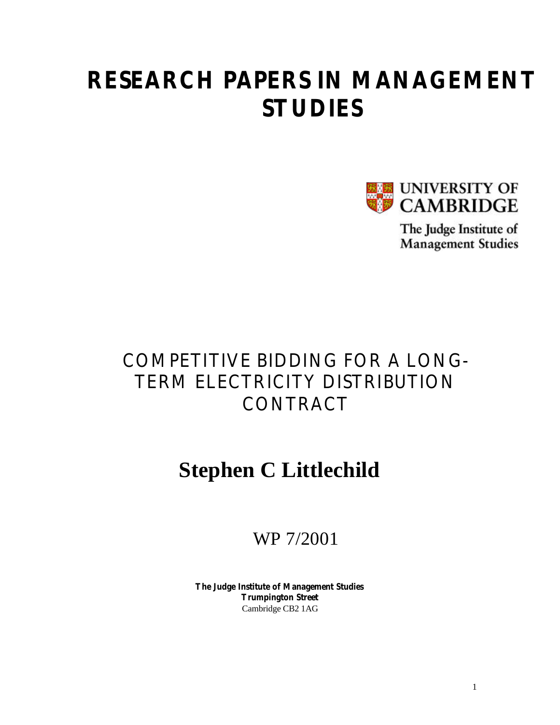# **RESEARCH PAPERS IN MANAGEMENT STUDIES**



The Judge Institute of **Management Studies** 

# COMPETITIVE BIDDING FOR A LONG-TERM ELECTRICITY DISTRIBUTION **CONTRACT**

# **Stephen C Littlechild**

WP 7/2001

**The Judge Institute of Management Studies Trumpington Street** Cambridge CB2 1AG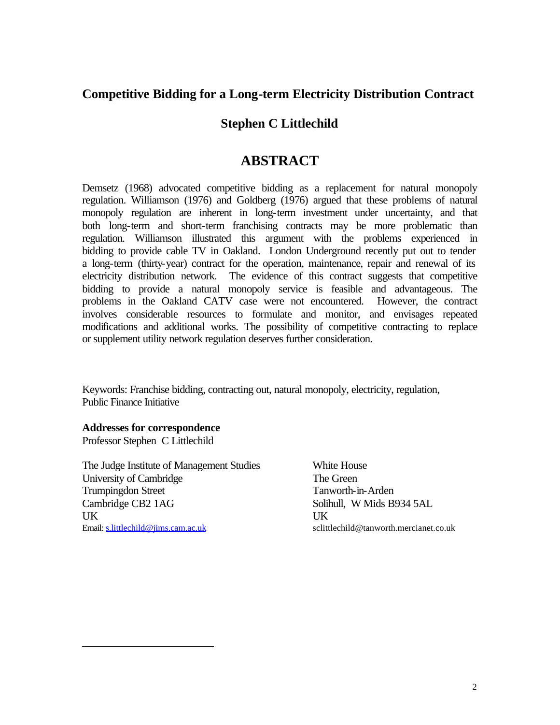# **Competitive Bidding for a Long-term Electricity Distribution Contract**

# **Stephen C Littlechild**

# **ABSTRACT**

Demsetz (1968) advocated competitive bidding as a replacement for natural monopoly regulation. Williamson (1976) and Goldberg (1976) argued that these problems of natural monopoly regulation are inherent in long-term investment under uncertainty, and that both long-term and short-term franchising contracts may be more problematic than regulation. Williamson illustrated this argument with the problems experienced in bidding to provide cable TV in Oakland. London Underground recently put out to tender a long-term (thirty-year) contract for the operation, maintenance, repair and renewal of its electricity distribution network. The evidence of this contract suggests that competitive bidding to provide a natural monopoly service is feasible and advantageous. The problems in the Oakland CATV case were not encountered. However, the contract involves considerable resources to formulate and monitor, and envisages repeated modifications and additional works. The possibility of competitive contracting to replace or supplement utility network regulation deserves further consideration.

Keywords: Franchise bidding, contracting out, natural monopoly, electricity, regulation, Public Finance Initiative

**Addresses for correspondence**

Professor Stephen C Littlechild

l

The Judge Institute of Management Studies White House University of Cambridge The Green Trumpingdon Street Tanworth-in-Arden Cambridge CB2 1AG Solihull, W Mids B934 5AL UK UK Email: s.littlechild@jims.cam.ac.uk sclittlechild@tanworth.mercianet.co.uk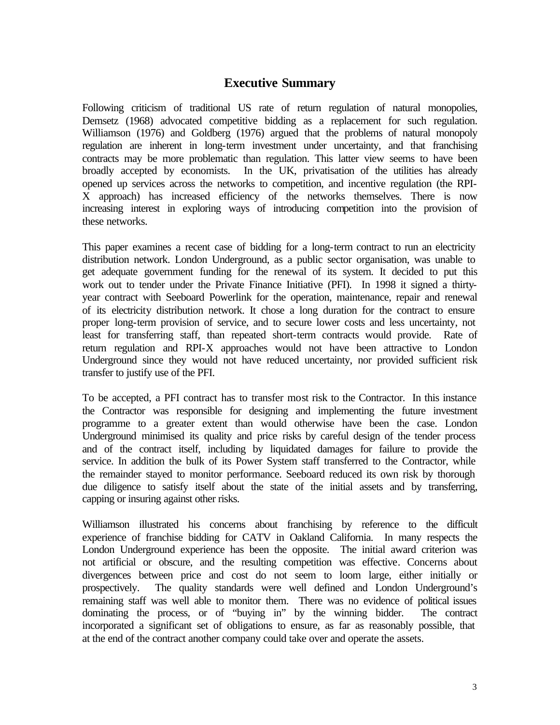# **Executive Summary**

Following criticism of traditional US rate of return regulation of natural monopolies, Demsetz (1968) advocated competitive bidding as a replacement for such regulation. Williamson (1976) and Goldberg (1976) argued that the problems of natural monopoly regulation are inherent in long-term investment under uncertainty, and that franchising contracts may be more problematic than regulation. This latter view seems to have been broadly accepted by economists. In the UK, privatisation of the utilities has already opened up services across the networks to competition, and incentive regulation (the RPI-X approach) has increased efficiency of the networks themselves. There is now increasing interest in exploring ways of introducing competition into the provision of these networks.

This paper examines a recent case of bidding for a long-term contract to run an electricity distribution network. London Underground, as a public sector organisation, was unable to get adequate government funding for the renewal of its system. It decided to put this work out to tender under the Private Finance Initiative (PFI). In 1998 it signed a thirtyyear contract with Seeboard Powerlink for the operation, maintenance, repair and renewal of its electricity distribution network. It chose a long duration for the contract to ensure proper long-term provision of service, and to secure lower costs and less uncertainty, not least for transferring staff, than repeated short-term contracts would provide. Rate of return regulation and RPI-X approaches would not have been attractive to London Underground since they would not have reduced uncertainty, nor provided sufficient risk transfer to justify use of the PFI.

To be accepted, a PFI contract has to transfer most risk to the Contractor. In this instance the Contractor was responsible for designing and implementing the future investment programme to a greater extent than would otherwise have been the case. London Underground minimised its quality and price risks by careful design of the tender process and of the contract itself, including by liquidated damages for failure to provide the service. In addition the bulk of its Power System staff transferred to the Contractor, while the remainder stayed to monitor performance. Seeboard reduced its own risk by thorough due diligence to satisfy itself about the state of the initial assets and by transferring, capping or insuring against other risks.

Williamson illustrated his concerns about franchising by reference to the difficult experience of franchise bidding for CATV in Oakland California. In many respects the London Underground experience has been the opposite. The initial award criterion was not artificial or obscure, and the resulting competition was effective. Concerns about divergences between price and cost do not seem to loom large, either initially or prospectively. The quality standards were well defined and London Underground's remaining staff was well able to monitor them. There was no evidence of political issues dominating the process, or of "buying in" by the winning bidder. The contract incorporated a significant set of obligations to ensure, as far as reasonably possible, that at the end of the contract another company could take over and operate the assets.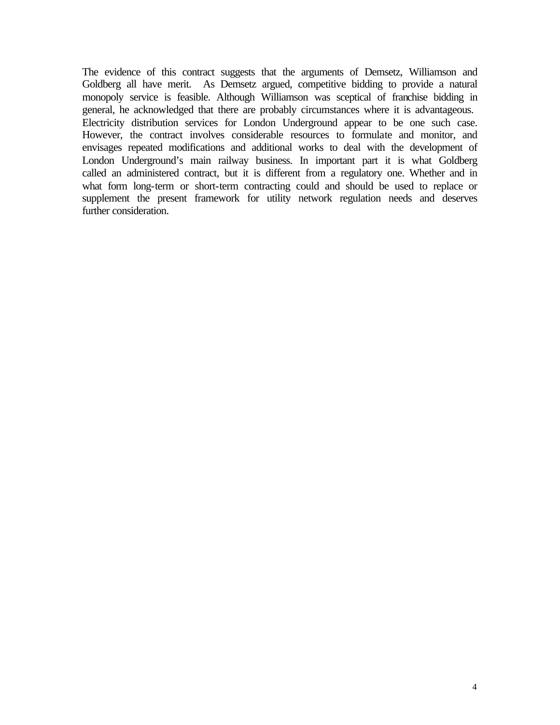The evidence of this contract suggests that the arguments of Demsetz, Williamson and Goldberg all have merit. As Demsetz argued, competitive bidding to provide a natural monopoly service is feasible. Although Williamson was sceptical of franchise bidding in general, he acknowledged that there are probably circumstances where it is advantageous. Electricity distribution services for London Underground appear to be one such case. However, the contract involves considerable resources to formulate and monitor, and envisages repeated modifications and additional works to deal with the development of London Underground's main railway business. In important part it is what Goldberg called an administered contract, but it is different from a regulatory one. Whether and in what form long-term or short-term contracting could and should be used to replace or supplement the present framework for utility network regulation needs and deserves further consideration.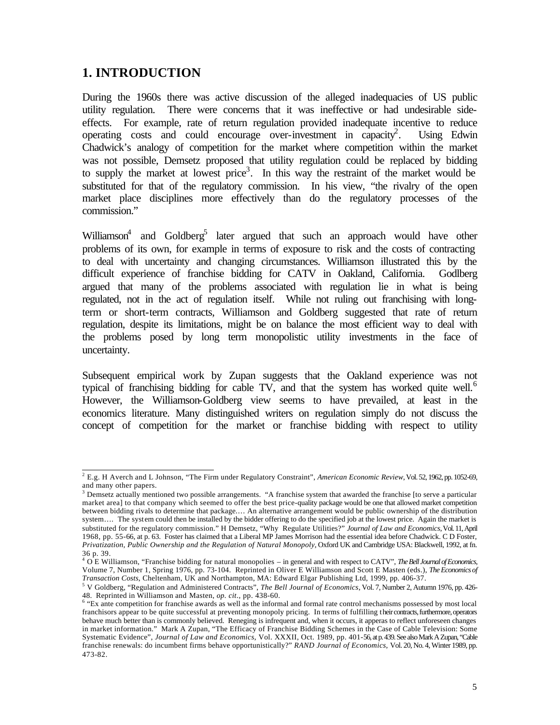# **1. INTRODUCTION**

During the 1960s there was active discussion of the alleged inadequacies of US public utility regulation. There were concerns that it was ineffective or had undesirable sideeffects. For example, rate of return regulation provided inadequate incentive to reduce operating costs and could encourage over-investment in capacity<sup>2</sup>. . Using Edwin Chadwick's analogy of competition for the market where competition within the market was not possible, Demsetz proposed that utility regulation could be replaced by bidding to supply the market at lowest price<sup>3</sup>. In this way the restraint of the market would be substituted for that of the regulatory commission. In his view, "the rivalry of the open market place disciplines more effectively than do the regulatory processes of the commission."

Williamson<sup>4</sup> and Goldberg<sup>5</sup> later argued that such an approach would have other problems of its own, for example in terms of exposure to risk and the costs of contracting to deal with uncertainty and changing circumstances. Williamson illustrated this by the difficult experience of franchise bidding for CATV in Oakland, California. Godlberg argued that many of the problems associated with regulation lie in what is being regulated, not in the act of regulation itself. While not ruling out franchising with longterm or short-term contracts, Williamson and Goldberg suggested that rate of return regulation, despite its limitations, might be on balance the most efficient way to deal with the problems posed by long term monopolistic utility investments in the face of uncertainty.

Subsequent empirical work by Zupan suggests that the Oakland experience was not typical of franchising bidding for cable TV, and that the system has worked quite well.<sup>6</sup> However, the Williamson-Goldberg view seems to have prevailed, at least in the economics literature. Many distinguished writers on regulation simply do not discuss the concept of competition for the market or franchise bidding with respect to utility

 2 E.g. H Averch and L Johnson, "The Firm under Regulatory Constraint", *American Economic Review*, Vol. 52, 1962, pp. 1052-69, and many other papers.

<sup>&</sup>lt;sup>3</sup> Demsetz actually mentioned two possible arrangements. "A franchise system that awarded the franchise [to serve a particular market area] to that company which seemed to offer the best price-quality package would be one that allowed market competition between bidding rivals to determine that package.… An alternative arrangement would be public ownership of the distribution system…. The system could then be installed by the bidder offering to do the specified job at the lowest price. Again the market is substituted for the regulatory commission." H Demsetz, "Why Regulate Utilities?" *Journal of Law and Economics*, Vol. 11, April 1968, pp. 55-66, at p. 63. Foster has claimed that a Liberal MP James Morrison had the essential idea before Chadwick. C D Foster, *Privatization, Public Ownership and the Regulation of Natural Monopoly*, Oxford UK and Cambridge USA: Blackwell, 1992, at fn. 36 p. 39. <sup>4</sup> O E Williamson, "Franchise bidding for natural monopolies – in general and with respect to CATV", *The Bell Journal of Economics*,

Volume 7, Number 1, Spring 1976, pp. 73-104. Reprinted in Oliver E Williamson and Scott E Masten (eds.), *The Economics of Transaction Costs*, Cheltenham, UK and Northampton, MA: Edward Elgar Publishing Ltd, 1999, pp. 406-37.

<sup>5</sup> V Goldberg, "Regulation and Administered Contracts", *The Bell Journal of Economics*, Vol. 7, Number 2, Autumn 1976, pp. 426- 48. Reprinted in Williamson and Masten, *op. cit.*, pp. 438-60.<br><sup>6</sup> "Ex ante competition for franchise awards as well as the informal and formal rate control mechanisms possessed by most local

franchisors appear to be quite successful at preventing monopoly pricing. In terms of fulfilling their contracts, furthermore, operators behave much better than is commonly believed. Reneging is infrequent and, when it occurs, it apperas to reflect unforeseen changes in market information." Mark A Zupan, "The Efficacy of Franchise Bidding Schemes in the Case of Cable Television: Some Systematic Evidence", *Journal of Law and Economics*, Vol. XXXII, Oct. 1989, pp. 401-56, at p. 439. See also Mark A Zupan, "Cable franchise renewals: do incumbent firms behave opportunistically?" *RAND Journal of Economics*, Vol. 20, No. 4, Winter 1989, pp. 473-82.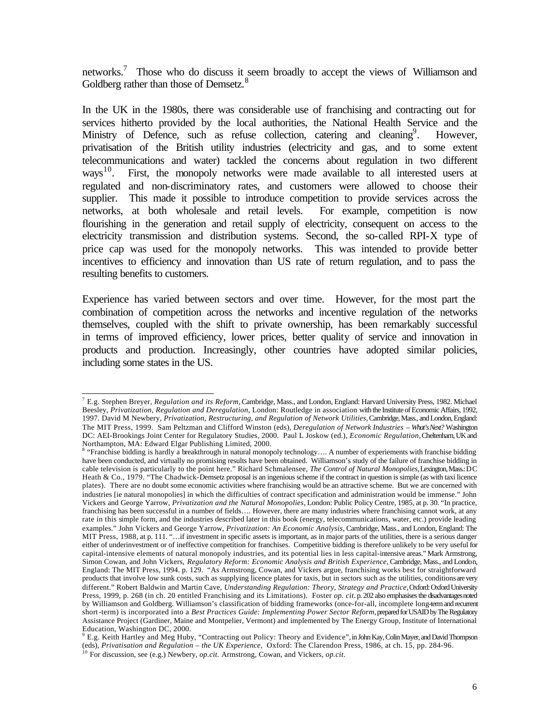networks.<sup>7</sup> Those who do discuss it seem broadly to accept the views of Williamson and Goldberg rather than those of Demsetz.<sup>8</sup>

In the UK in the 1980s, there was considerable use of franchising and contracting out for services hitherto provided by the local authorities, the National Health Service and the Ministry of Defence, such as refuse collection, catering and cleaning<sup>9</sup>. . However, privatisation of the British utility industries (electricity and gas, and to some extent telecommunications and water) tackled the concerns about regulation in two different ways<sup>10</sup>. First, the monopoly networks were made available to all interested users at regulated and non-discriminatory rates, and customers were allowed to choose their supplier. This made it possible to introduce competition to provide services across the networks, at both wholesale and retail levels. For example, competition is now flourishing in the generation and retail supply of electricity, consequent on access to the electricity transmission and distribution systems. Second, the so-called RPI-X type of price cap was used for the monopoly networks. This was intended to provide better incentives to efficiency and innovation than US rate of return regulation, and to pass the resulting benefits to customers.

Experience has varied between sectors and over time. However, for the most part the combination of competition across the networks and incentive regulation of the networks themselves, coupled with the shift to private ownership, has been remarkably successful in terms of improved efficiency, lower prices, better quality of service and innovation in products and production. Increasingly, other countries have adopted similar policies, including some states in the US.

 7 E.g. Stephen Breyer, *Regulation and its Reform,* Cambridge, Mass., and London, England: Harvard University Press, 1982. Michael Beesley, *Privatization, Regulation and Deregulation*, London: Routledge in association with the Institute of Economic Affairs, 1992, 1997. David M Newbery, *Privatization, Restructuring, and Regulation of Network Utilities*, Cambridge, Mass., and London, England: The MIT Press, 1999.Sam Peltzman and Clifford Winston (eds), *Deregulation of Network Industries – What's Next?* Washington DC: AEI-Brookings Joint Center for Regulatory Studies, 2000. Paul L Joskow (ed.), *Economic Regulation*, Cheltenham, UK and

Northampton, MA: Edward Elgar Publishing Limited, 2000.<br><sup>8</sup> "Franchise bidding is hardly a breakthrough in natural monopoly technology…. A number of experiements with franchise bidding have been conducted, and virtually no promising results have been obtained. Williamson's study of the failure of franchise bidding in cable television is particularly to the point here." Richard Schmalensee, *The Control of Natural Monopolies*, Lexington, Mass.: D C Heath & Co., 1979. "The Chadwick-Demsetz proposal is an ingenious scheme if the contract in question is simple (as with taxi licence plates). There are no doubt some economic activities where franchising would be an attractive scheme. But we are concerned with industries [ie natural monopolies] in which the difficulties of contract specification and administration would be immense." John Vickers and George Yarrow, *Privatization and the Natural Monopolies*, London: Public Policy Centre, 1985, at p. 30. "In practice, franchising has been successful in a number of fields…. However, there are many industries where franchising cannot work, at any rate in this simple form, and the industries described later in this book (energy, telecommunications, water, etc.) provide leading examples." John Vickers and George Yarrow, *Privatization: An Economic Analysis*, Cambridge, Mass., and London, England: The MIT Press, 1988, at p. 111. "…if investment in specific assets is important, as in major parts of the utilities, there is a serious danger either of underinvestment or of ineffective competition for franchises. Competitive bidding is therefore unlikely to be very useful for capital-intensive elements of natural monopoly industries, and its potential lies in less capital-intensive areas." Mark Armstrong, Simon Cowan, and John Vickers, *Regulatory Reform: Economic Analysis and British Experience*, Cambridge, Mass., and London, England: The MIT Press, 1994. p. 129. "As Armstrong, Cowan, and Vickers argue, franchising works best for straightforward products that involve low sunk costs, such as supplying licence plates for taxis, but in sectors such as the utilities, conditions are very different." Robert Baldwin and Martin Cave*, Understanding Regulation: Theory, Strategy and Practice*, Oxford: Oxford University Press, 1999, p. 268 (in ch. 20 entitled Franchising and its Limitations). Foster *op. cit*. p. 202 also emphasises the disadvantages noted by Williamson and Goldberg. Williamson's classification of bidding frameworks (once-for-all, incomplete long-term and recurrent short-term) is incorporated into a *Best Practices Guide: Implementing Power Sector Reform*, prepared for USAID by The Regulatory Assistance Project (Gardiner, Maine and Montpelier, Vermont) and implemented by The Energy Group, Institute of International Education, Washington DC, 2000. 9 E.g. Keith Hartley and Meg Huby, "Contracting out Policy: Theory and Evidence", in John Kay, Colin Mayer, and David Thompson

<sup>(</sup>eds), *Privatisation and Regulation – the UK Experience*, Oxford: The Clarendon Press, 1986, at ch. 15, pp. 284-96. <sup>10</sup> For discussion, see (e.g.) Newbery, *op.cit.* Armstrong, Cowan, and Vickers, *op.cit*.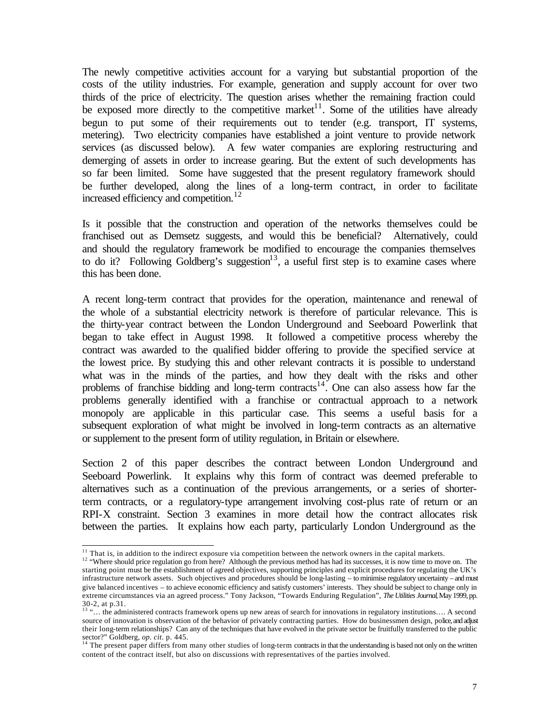The newly competitive activities account for a varying but substantial proportion of the costs of the utility industries. For example, generation and supply account for over two thirds of the price of electricity. The question arises whether the remaining fraction could be exposed more directly to the competitive market<sup>11</sup>. Some of the utilities have already begun to put some of their requirements out to tender (e.g. transport, IT systems, metering). Two electricity companies have established a joint venture to provide network services (as discussed below). A few water companies are exploring restructuring and demerging of assets in order to increase gearing. But the extent of such developments has so far been limited. Some have suggested that the present regulatory framework should be further developed, along the lines of a long-term contract, in order to facilitate increased efficiency and competition.<sup>12</sup>

Is it possible that the construction and operation of the networks themselves could be franchised out as Demsetz suggests, and would this be beneficial? Alternatively, could and should the regulatory framework be modified to encourage the companies themselves to do it? Following Goldberg's suggestion<sup>13</sup>, a useful first step is to examine cases where this has been done.

A recent long-term contract that provides for the operation, maintenance and renewal of the whole of a substantial electricity network is therefore of particular relevance. This is the thirty-year contract between the London Underground and Seeboard Powerlink that began to take effect in August 1998. It followed a competitive process whereby the contract was awarded to the qualified bidder offering to provide the specified service at the lowest price. By studying this and other relevant contracts it is possible to understand what was in the minds of the parties, and how they dealt with the risks and other problems of franchise bidding and long-term contracts<sup>14</sup>. One can also assess how far the problems generally identified with a franchise or contractual approach to a network monopoly are applicable in this particular case. This seems a useful basis for a subsequent exploration of what might be involved in long-term contracts as an alternative or supplement to the present form of utility regulation, in Britain or elsewhere.

Section 2 of this paper describes the contract between London Underground and Seeboard Powerlink. It explains why this form of contract was deemed preferable to alternatives such as a continuation of the previous arrangements, or a series of shorterterm contracts, or a regulatory-type arrangement involving cost-plus rate of return or an RPI-X constraint. Section 3 examines in more detail how the contract allocates risk between the parties. It explains how each party, particularly London Underground as the

l

 $11$  That is, in addition to the indirect exposure via competition between the network owners in the capital markets.

<sup>&</sup>lt;sup>12</sup> "Where should price regulation go from here? Although the previous method has had its successes, it is now time to move on. The starting point must be the establishment of agreed objectives, supporting principles and explicit procedures for regulating the UK's infrastructure network assets. Such objectives and procedures should be long-lasting – to minimise regulatory uncertainty – and must give balanced incentives – to achieve economic efficiency and satisfy customers' interests. They should be subject to change only in extreme circumstances via an agreed process." Tony Jackson, "Towards Enduring Regulation", *The Utilities Journal*, May 1999, pp.

<sup>30-2,</sup> at p.31. <sup>13</sup> "… the administered contracts framework opens up new areas of search for innovations in regulatory institutions…. A second source of innovation is observation of the behavior of privately contracting parties. How do businessmen design, police, and adjust their long-term relationships? Can any of the techniques that have evolved in the private sector be fruitfully transferred to the public

sector?" Goldberg, *op. cit.* p. 445.<br><sup>14</sup> The present paper differs from many other studies of long-term contracts in that the understanding is based not only on the written content of the contract itself, but also on discussions with representatives of the parties involved.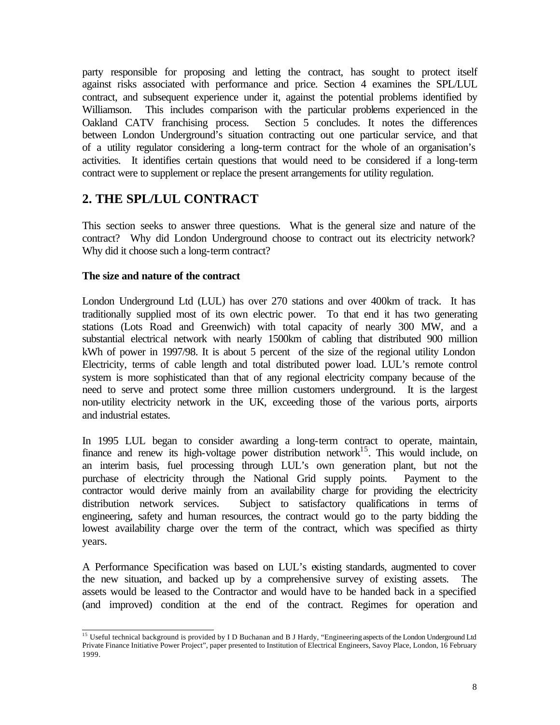party responsible for proposing and letting the contract, has sought to protect itself against risks associated with performance and price. Section 4 examines the SPL/LUL contract, and subsequent experience under it, against the potential problems identified by Williamson. This includes comparison with the particular problems experienced in the Oakland CATV franchising process. Section 5 concludes. It notes the differences between London Underground's situation contracting out one particular service, and that of a utility regulator considering a long-term contract for the whole of an organisation's activities. It identifies certain questions that would need to be considered if a long-term contract were to supplement or replace the present arrangements for utility regulation.

# **2. THE SPL/LUL CONTRACT**

This section seeks to answer three questions. What is the general size and nature of the contract? Why did London Underground choose to contract out its electricity network? Why did it choose such a long-term contract?

# **The size and nature of the contract**

London Underground Ltd (LUL) has over 270 stations and over 400km of track. It has traditionally supplied most of its own electric power. To that end it has two generating stations (Lots Road and Greenwich) with total capacity of nearly 300 MW, and a substantial electrical network with nearly 1500km of cabling that distributed 900 million kWh of power in 1997/98. It is about 5 percent of the size of the regional utility London Electricity, terms of cable length and total distributed power load. LUL's remote control system is more sophisticated than that of any regional electricity company because of the need to serve and protect some three million customers underground. It is the largest non-utility electricity network in the UK, exceeding those of the various ports, airports and industrial estates.

In 1995 LUL began to consider awarding a long-term contract to operate, maintain, finance and renew its high-voltage power distribution network<sup>15</sup>. This would include, on an interim basis, fuel processing through LUL's own generation plant, but not the purchase of electricity through the National Grid supply points. Payment to the contractor would derive mainly from an availability charge for providing the electricity distribution network services. Subject to satisfactory qualifications in terms of engineering, safety and human resources, the contract would go to the party bidding the lowest availability charge over the term of the contract, which was specified as thirty years.

A Performance Specification was based on LUL's existing standards, augmented to cover the new situation, and backed up by a comprehensive survey of existing assets. The assets would be leased to the Contractor and would have to be handed back in a specified (and improved) condition at the end of the contract. Regimes for operation and

l <sup>15</sup> Useful technical background is provided by I D Buchanan and B J Hardy, "Engineering aspects of the London Underground Ltd Private Finance Initiative Power Project", paper presented to Institution of Electrical Engineers, Savoy Place, London, 16 February 1999.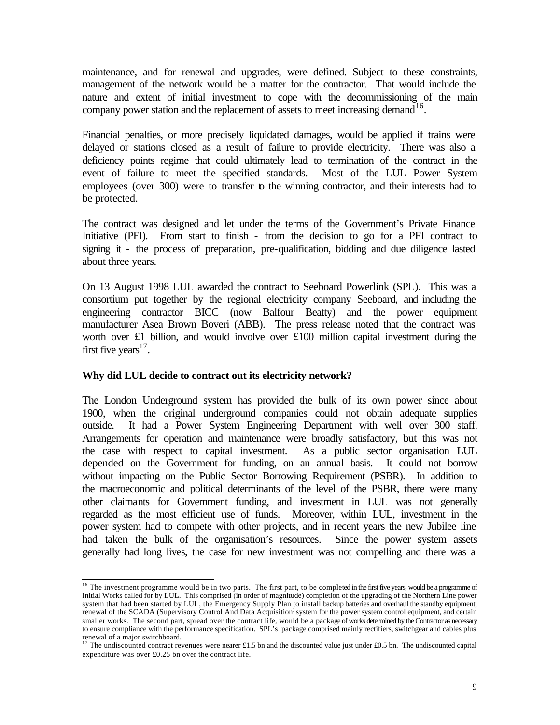maintenance, and for renewal and upgrades, were defined. Subject to these constraints, management of the network would be a matter for the contractor. That would include the nature and extent of initial investment to cope with the decommissioning of the main company power station and the replacement of assets to meet increasing demand  $16$ .

Financial penalties, or more precisely liquidated damages, would be applied if trains were delayed or stations closed as a result of failure to provide electricity. There was also a deficiency points regime that could ultimately lead to termination of the contract in the event of failure to meet the specified standards. Most of the LUL Power System employees (over 300) were to transfer **b** the winning contractor, and their interests had to be protected.

The contract was designed and let under the terms of the Government's Private Finance Initiative (PFI). From start to finish - from the decision to go for a PFI contract to signing it - the process of preparation, pre-qualification, bidding and due diligence lasted about three years.

On 13 August 1998 LUL awarded the contract to Seeboard Powerlink (SPL). This was a consortium put together by the regional electricity company Seeboard, and including the engineering contractor BICC (now Balfour Beatty) and the power equipment manufacturer Asea Brown Boveri (ABB). The press release noted that the contract was worth over £1 billion, and would involve over £100 million capital investment during the first five years $17$ .

# **Why did LUL decide to contract out its electricity network?**

l

The London Underground system has provided the bulk of its own power since about 1900, when the original underground companies could not obtain adequate supplies outside. It had a Power System Engineering Department with well over 300 staff. Arrangements for operation and maintenance were broadly satisfactory, but this was not the case with respect to capital investment. As a public sector organisation LUL depended on the Government for funding, on an annual basis. It could not borrow without impacting on the Public Sector Borrowing Requirement (PSBR). In addition to the macroeconomic and political determinants of the level of the PSBR, there were many other claimants for Government funding, and investment in LUL was not generally regarded as the most efficient use of funds. Moreover, within LUL, investment in the power system had to compete with other projects, and in recent years the new Jubilee line had taken the bulk of the organisation's resources. Since the power system assets generally had long lives, the case for new investment was not compelling and there was a

 $16$  The investment programme would be in two parts. The first part, to be completed in the first five years, would be a programme of Initial Works called for by LUL. This comprised (in order of magnitude) completion of the upgrading of the Northern Line power system that had been started by LUL, the Emergency Supply Plan to install backup batteries and overhaul the standby equipment, renewal of the SCADA (Supervisory Control And Data Acquisition<sup>)</sup> system for the power system control equipment, and certain smaller works. The second part, spread over the contract life, would be a package of works determined by the Contractor as necessary to ensure compliance with the performance specification. SPL's package comprised mainly rectifiers, switchgear and cables plus

renewal of a major switchboard.<br><sup>17</sup> The undiscounted contract revenues were nearer £1.5 bn and the discounted value just under £0.5 bn. The undiscounted capital expenditure was over £0.25 bn over the contract life.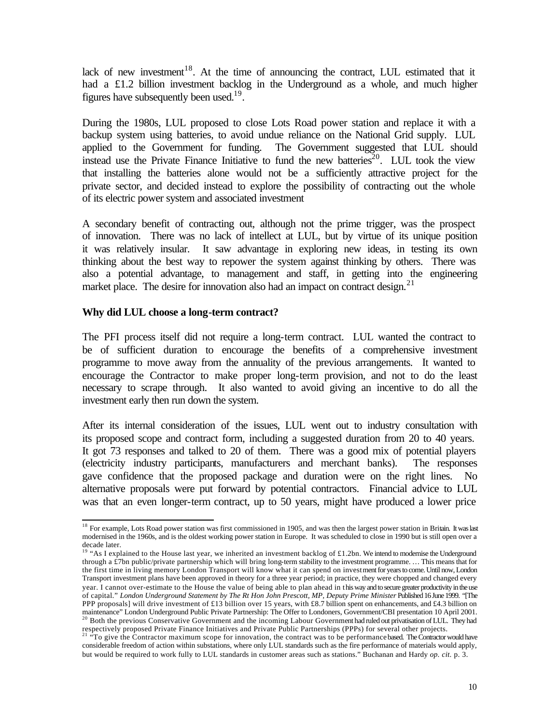lack of new investment<sup>18</sup>. At the time of announcing the contract, LUL estimated that it had a £1.2 billion investment backlog in the Underground as a whole, and much higher figures have subsequently been used.<sup>19</sup>.

During the 1980s, LUL proposed to close Lots Road power station and replace it with a backup system using batteries, to avoid undue reliance on the National Grid supply. LUL applied to the Government for funding. The Government suggested that LUL should instead use the Private Finance Initiative to fund the new batteries<sup>20</sup>. LUL took the view that installing the batteries alone would not be a sufficiently attractive project for the private sector, and decided instead to explore the possibility of contracting out the whole of its electric power system and associated investment

A secondary benefit of contracting out, although not the prime trigger, was the prospect of innovation. There was no lack of intellect at LUL, but by virtue of its unique position it was relatively insular. It saw advantage in exploring new ideas, in testing its own thinking about the best way to repower the system against thinking by others. There was also a potential advantage, to management and staff, in getting into the engineering market place. The desire for innovation also had an impact on contract design.<sup>21</sup>

## **Why did LUL choose a long-term contract?**

The PFI process itself did not require a long-term contract. LUL wanted the contract to be of sufficient duration to encourage the benefits of a comprehensive investment programme to move away from the annuality of the previous arrangements. It wanted to encourage the Contractor to make proper long-term provision, and not to do the least necessary to scrape through. It also wanted to avoid giving an incentive to do all the investment early then run down the system.

After its internal consideration of the issues, LUL went out to industry consultation with its proposed scope and contract form, including a suggested duration from 20 to 40 years. It got 73 responses and talked to 20 of them. There was a good mix of potential players (electricity industry participants, manufacturers and merchant banks). The responses gave confidence that the proposed package and duration were on the right lines. No alternative proposals were put forward by potential contractors. Financial advice to LUL was that an even longer-term contract, up to 50 years, might have produced a lower price

l <sup>18</sup> For example, Lots Road power station was first commissioned in 1905, and was then the largest power station in Britain. It was last modernised in the 1960s, and is the oldest working power station in Europe. It was scheduled to close in 1990 but is still open over a decade later.

<sup>&</sup>lt;sup>19</sup> "As I explained to the House last year, we inherited an investment backlog of £1.2bn. We intend to modernise the Underground through a  $\hat{\mathcal{L}}$ 7bn public/private partnership which will bring long-term stability to the investment programme. ... This means that for the first time in living memory London Transport will know what it can spend on investment for years to come. Until now, London Transport investment plans have been approved in theory for a three year period; in practice, they were chopped and changed every year. I cannot over-estimate to the House the value of being able to plan ahead in this way and to secure greater productivity in the use of capital." *London Underground Statement by The Rt Hon John Prescott, MP, Deputy Prime Minister* Published 16 June 1999. "[The PPP proposals] will drive investment of £13 billion over 15 years, with £8.7 billion spent on enhancements, and £4.3 billion on maintenance" London Underground Public Private Partnership: The Offer to Londoners, Government/CBI presentation 10 April 2001. <sup>20</sup> Both the previous Conservative Government and the incoming Labour Government had ruled out privatisation of LUL. They had

respectively proposed Private Finance Initiatives and Private Public Partnerships (PPPs) for several other projects.<br><sup>21</sup> "To give the Contractor maximum scope for innovation, the contract was to be performance based. The considerable freedom of action within substations, where only LUL standards such as the fire performance of materials would apply, but would be required to work fully to LUL standards in customer areas such as stations." Buchanan and Hardy *op. cit.* p. 3.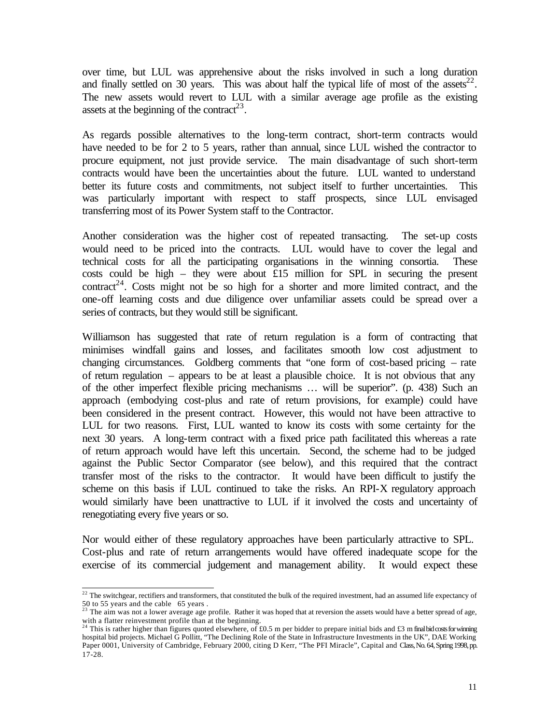over time, but LUL was apprehensive about the risks involved in such a long duration and finally settled on 30 years. This was about half the typical life of most of the assets $^{22}$ . The new assets would revert to LUL with a similar average age profile as the existing assets at the beginning of the contract<sup>23</sup>.

As regards possible alternatives to the long-term contract, short-term contracts would have needed to be for 2 to 5 years, rather than annual, since LUL wished the contractor to procure equipment, not just provide service. The main disadvantage of such short-term contracts would have been the uncertainties about the future. LUL wanted to understand better its future costs and commitments, not subject itself to further uncertainties. This was particularly important with respect to staff prospects, since LUL envisaged transferring most of its Power System staff to the Contractor.

Another consideration was the higher cost of repeated transacting. The set-up costs would need to be priced into the contracts. LUL would have to cover the legal and technical costs for all the participating organisations in the winning consortia. These costs could be high – they were about  $£15$  million for SPL in securing the present contract<sup>24</sup>. Costs might not be so high for a shorter and more limited contract, and the one-off learning costs and due diligence over unfamiliar assets could be spread over a series of contracts, but they would still be significant.

Williamson has suggested that rate of return regulation is a form of contracting that minimises windfall gains and losses, and facilitates smooth low cost adjustment to changing circumstances. Goldberg comments that "one form of cost-based pricing – rate of return regulation – appears to be at least a plausible choice. It is not obvious that any of the other imperfect flexible pricing mechanisms … will be superior". (p. 438) Such an approach (embodying cost-plus and rate of return provisions, for example) could have been considered in the present contract. However, this would not have been attractive to LUL for two reasons. First, LUL wanted to know its costs with some certainty for the next 30 years. A long-term contract with a fixed price path facilitated this whereas a rate of return approach would have left this uncertain. Second, the scheme had to be judged against the Public Sector Comparator (see below), and this required that the contract transfer most of the risks to the contractor. It would have been difficult to justify the scheme on this basis if LUL continued to take the risks. An RPI-X regulatory approach would similarly have been unattractive to LUL if it involved the costs and uncertainty of renegotiating every five years or so.

Nor would either of these regulatory approaches have been particularly attractive to SPL. Cost-plus and rate of return arrangements would have offered inadequate scope for the exercise of its commercial judgement and management ability. It would expect these

l  $2<sup>22</sup>$  The switchgear, rectifiers and transformers, that constituted the bulk of the required investment, had an assumed life expectancy of

<sup>50</sup> to 55 years and the cable 65 years .<br><sup>23</sup> The aim was not a lower average age profile. Rather it was hoped that at reversion the assets would have a better spread of age,

with a flatter reinvestment profile than at the beginning.<br><sup>24</sup> This is rather higher than figures quoted elsewhere, of £0.5 m per bidder to prepare initial bids and £3 m final bidcosts for winning hospital bid projects. Michael G Pollitt, "The Declining Role of the State in Infrastructure Investments in the UK", DAE Working Paper 0001, University of Cambridge, February 2000, citing D Kerr, "The PFI Miracle", Capital and Class, No. 64, Spring 1998, pp. 17-28.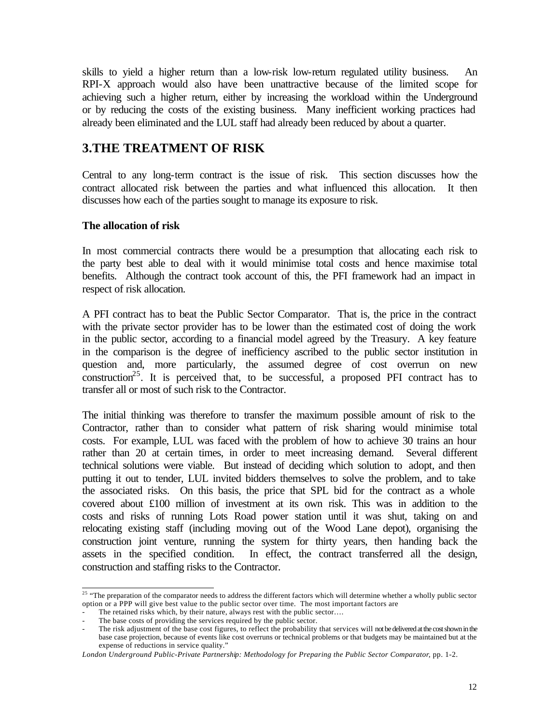skills to yield a higher return than a low-risk low-return regulated utility business. An RPI-X approach would also have been unattractive because of the limited scope for achieving such a higher return, either by increasing the workload within the Underground or by reducing the costs of the existing business. Many inefficient working practices had already been eliminated and the LUL staff had already been reduced by about a quarter.

# **3.THE TREATMENT OF RISK**

Central to any long-term contract is the issue of risk. This section discusses how the contract allocated risk between the parties and what influenced this allocation. It then discusses how each of the parties sought to manage its exposure to risk.

# **The allocation of risk**

In most commercial contracts there would be a presumption that allocating each risk to the party best able to deal with it would minimise total costs and hence maximise total benefits. Although the contract took account of this, the PFI framework had an impact in respect of risk allocation.

A PFI contract has to beat the Public Sector Comparator. That is, the price in the contract with the private sector provider has to be lower than the estimated cost of doing the work in the public sector, according to a financial model agreed by the Treasury. A key feature in the comparison is the degree of inefficiency ascribed to the public sector institution in question and, more particularly, the assumed degree of cost overrun on new construction<sup>25</sup>. It is perceived that, to be successful, a proposed PFI contract has to transfer all or most of such risk to the Contractor.

The initial thinking was therefore to transfer the maximum possible amount of risk to the Contractor, rather than to consider what pattern of risk sharing would minimise total costs. For example, LUL was faced with the problem of how to achieve 30 trains an hour rather than 20 at certain times, in order to meet increasing demand. Several different technical solutions were viable. But instead of deciding which solution to adopt, and then putting it out to tender, LUL invited bidders themselves to solve the problem, and to take the associated risks. On this basis, the price that SPL bid for the contract as a whole covered about £100 million of investment at its own risk. This was in addition to the costs and risks of running Lots Road power station until it was shut, taking on and relocating existing staff (including moving out of the Wood Lane depot), organising the construction joint venture, running the system for thirty years, then handing back the assets in the specified condition. In effect, the contract transferred all the design, construction and staffing risks to the Contractor.

l <sup>25</sup> "The preparation of the comparator needs to address the different factors which will determine whether a wholly public sector option or a PPP will give best value to the public sector over time. The most important factors are

The retained risks which, by their nature, always rest with the public sector….

The base costs of providing the services required by the public sector.

The risk adjustment of the base cost figures, to reflect the probability that services will not be delivered at the cost shown in the base case projection, because of events like cost overruns or technical problems or that budgets may be maintained but at the expense of reductions in service quality."

*London Underground Public-Private Partnership: Methodology for Preparing the Public Sector Comparator*, pp. 1-2.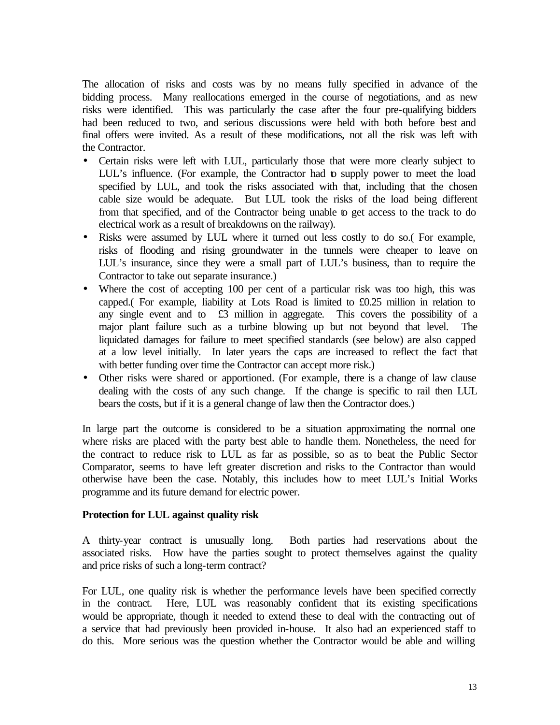The allocation of risks and costs was by no means fully specified in advance of the bidding process. Many reallocations emerged in the course of negotiations, and as new risks were identified. This was particularly the case after the four pre-qualifying bidders had been reduced to two, and serious discussions were held with both before best and final offers were invited. As a result of these modifications, not all the risk was left with the Contractor.

- Certain risks were left with LUL, particularly those that were more clearly subject to LUL's influence. (For example, the Contractor had to supply power to meet the load specified by LUL, and took the risks associated with that, including that the chosen cable size would be adequate. But LUL took the risks of the load being different from that specified, and of the Contractor being unable to get access to the track to do electrical work as a result of breakdowns on the railway).
- Risks were assumed by LUL where it turned out less costly to do so.(For example, risks of flooding and rising groundwater in the tunnels were cheaper to leave on LUL's insurance, since they were a small part of LUL's business, than to require the Contractor to take out separate insurance.)
- Where the cost of accepting 100 per cent of a particular risk was too high, this was capped.( For example, liability at Lots Road is limited to £0.25 million in relation to any single event and to £3 million in aggregate. This covers the possibility of a major plant failure such as a turbine blowing up but not beyond that level. The liquidated damages for failure to meet specified standards (see below) are also capped at a low level initially. In later years the caps are increased to reflect the fact that with better funding over time the Contractor can accept more risk.)
- Other risks were shared or apportioned. (For example, there is a change of law clause dealing with the costs of any such change. If the change is specific to rail then LUL bears the costs, but if it is a general change of law then the Contractor does.)

In large part the outcome is considered to be a situation approximating the normal one where risks are placed with the party best able to handle them. Nonetheless, the need for the contract to reduce risk to LUL as far as possible, so as to beat the Public Sector Comparator, seems to have left greater discretion and risks to the Contractor than would otherwise have been the case. Notably, this includes how to meet LUL's Initial Works programme and its future demand for electric power.

# **Protection for LUL against quality risk**

A thirty-year contract is unusually long. Both parties had reservations about the associated risks. How have the parties sought to protect themselves against the quality and price risks of such a long-term contract?

For LUL, one quality risk is whether the performance levels have been specified correctly in the contract. Here, LUL was reasonably confident that its existing specifications would be appropriate, though it needed to extend these to deal with the contracting out of a service that had previously been provided in-house. It also had an experienced staff to do this. More serious was the question whether the Contractor would be able and willing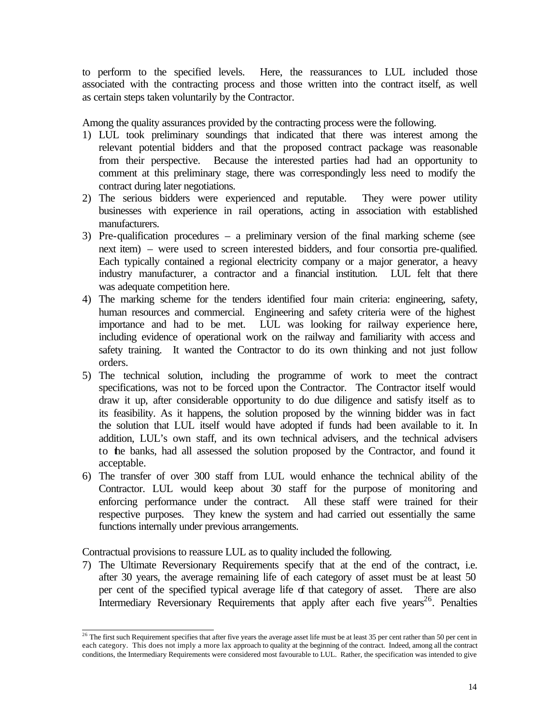to perform to the specified levels. Here, the reassurances to LUL included those associated with the contracting process and those written into the contract itself, as well as certain steps taken voluntarily by the Contractor.

Among the quality assurances provided by the contracting process were the following.

- 1) LUL took preliminary soundings that indicated that there was interest among the relevant potential bidders and that the proposed contract package was reasonable from their perspective. Because the interested parties had had an opportunity to comment at this preliminary stage, there was correspondingly less need to modify the contract during later negotiations.
- 2) The serious bidders were experienced and reputable. They were power utility businesses with experience in rail operations, acting in association with established manufacturers.
- 3) Pre-qualification procedures a preliminary version of the final marking scheme (see next item) – were used to screen interested bidders, and four consortia pre-qualified. Each typically contained a regional electricity company or a major generator, a heavy industry manufacturer, a contractor and a financial institution. LUL felt that there was adequate competition here.
- 4) The marking scheme for the tenders identified four main criteria: engineering, safety, human resources and commercial. Engineering and safety criteria were of the highest importance and had to be met. LUL was looking for railway experience here, including evidence of operational work on the railway and familiarity with access and safety training. It wanted the Contractor to do its own thinking and not just follow orders.
- 5) The technical solution, including the programme of work to meet the contract specifications, was not to be forced upon the Contractor. The Contractor itself would draw it up, after considerable opportunity to do due diligence and satisfy itself as to its feasibility. As it happens, the solution proposed by the winning bidder was in fact the solution that LUL itself would have adopted if funds had been available to it. In addition, LUL's own staff, and its own technical advisers, and the technical advisers to the banks, had all assessed the solution proposed by the Contractor, and found it acceptable.
- 6) The transfer of over 300 staff from LUL would enhance the technical ability of the Contractor. LUL would keep about 30 staff for the purpose of monitoring and enforcing performance under the contract. All these staff were trained for their respective purposes. They knew the system and had carried out essentially the same functions internally under previous arrangements.

Contractual provisions to reassure LUL as to quality included the following.

7) The Ultimate Reversionary Requirements specify that at the end of the contract, i.e. after 30 years, the average remaining life of each category of asset must be at least 50 per cent of the specified typical average life of that category of asset. There are also Intermediary Reversionary Requirements that apply after each five years<sup>26</sup>. Penalties

l <sup>26</sup> The first such Requirement specifies that after five years the average asset life must be at least 35 per cent rather than 50 per cent in each category. This does not imply a more lax approach to quality at the beginning of the contract. Indeed, among all the contract conditions, the Intermediary Requirements were considered most favourable to LUL. Rather, the specification was intended to give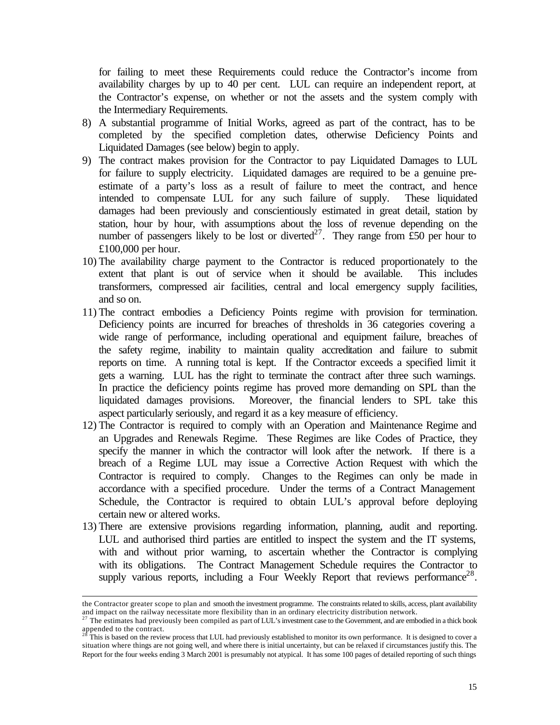for failing to meet these Requirements could reduce the Contractor's income from availability charges by up to 40 per cent. LUL can require an independent report, at the Contractor's expense, on whether or not the assets and the system comply with the Intermediary Requirements.

- 8) A substantial programme of Initial Works, agreed as part of the contract, has to be completed by the specified completion dates, otherwise Deficiency Points and Liquidated Damages (see below) begin to apply.
- 9) The contract makes provision for the Contractor to pay Liquidated Damages to LUL for failure to supply electricity. Liquidated damages are required to be a genuine preestimate of a party's loss as a result of failure to meet the contract, and hence intended to compensate LUL for any such failure of supply. These liquidated damages had been previously and conscientiously estimated in great detail, station by station, hour by hour, with assumptions about the loss of revenue depending on the number of passengers likely to be lost or diverted<sup>27</sup>. They range from £50 per hour to £100,000 per hour.
- 10) The availability charge payment to the Contractor is reduced proportionately to the extent that plant is out of service when it should be available. This includes transformers, compressed air facilities, central and local emergency supply facilities, and so on.
- 11) The contract embodies a Deficiency Points regime with provision for termination. Deficiency points are incurred for breaches of thresholds in 36 categories covering a wide range of performance, including operational and equipment failure, breaches of the safety regime, inability to maintain quality accreditation and failure to submit reports on time. A running total is kept. If the Contractor exceeds a specified limit it gets a warning. LUL has the right to terminate the contract after three such warnings. In practice the deficiency points regime has proved more demanding on SPL than the liquidated damages provisions. Moreover, the financial lenders to SPL take this aspect particularly seriously, and regard it as a key measure of efficiency.
- 12) The Contractor is required to comply with an Operation and Maintenance Regime and an Upgrades and Renewals Regime. These Regimes are like Codes of Practice, they specify the manner in which the contractor will look after the network. If there is a breach of a Regime LUL may issue a Corrective Action Request with which the Contractor is required to comply. Changes to the Regimes can only be made in accordance with a specified procedure. Under the terms of a Contract Management Schedule, the Contractor is required to obtain LUL's approval before deploying certain new or altered works.
- 13) There are extensive provisions regarding information, planning, audit and reporting. LUL and authorised third parties are entitled to inspect the system and the IT systems, with and without prior warning, to ascertain whether the Contractor is complying with its obligations. The Contract Management Schedule requires the Contractor to supply various reports, including a Four Weekly Report that reviews performance<sup>28</sup>.

l the Contractor greater scope to plan and smooth the investment programme. The constraints related to skills, access, plant availability and impact on the railway necessitate more flexibility than in an ordinary electricity distribution network.

<sup>&</sup>lt;sup>27</sup> The estimates had previously been compiled as part of LUL's investment case to the Government, and are embodied in a thick book appended to the contract.<br><sup>28</sup> This is based on the review process that LUL had previously established to monitor its own performance. It is designed to cover a

situation where things are not going well, and where there is initial uncertainty, but can be relaxed if circumstances justify this. The Report for the four weeks ending 3 March 2001 is presumably not atypical. It has some 100 pages of detailed reporting of such things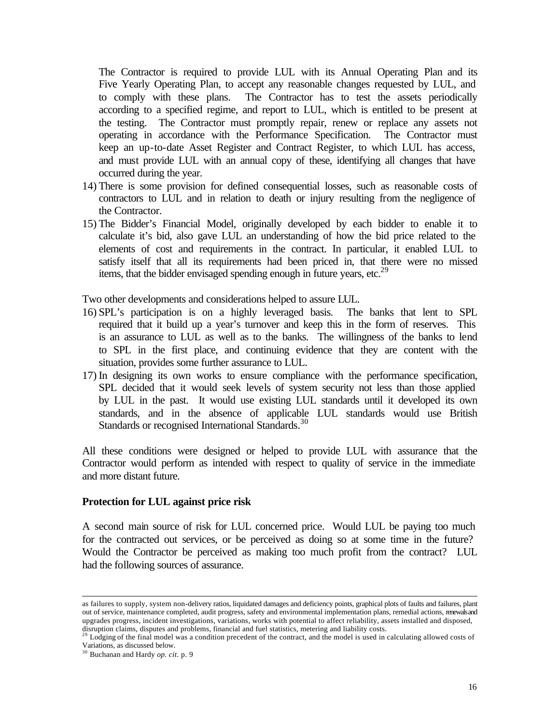The Contractor is required to provide LUL with its Annual Operating Plan and its Five Yearly Operating Plan, to accept any reasonable changes requested by LUL, and to comply with these plans. The Contractor has to test the assets periodically according to a specified regime, and report to LUL, which is entitled to be present at the testing. The Contractor must promptly repair, renew or replace any assets not operating in accordance with the Performance Specification. The Contractor must keep an up-to-date Asset Register and Contract Register, to which LUL has access, and must provide LUL with an annual copy of these, identifying all changes that have occurred during the year.

- 14) There is some provision for defined consequential losses, such as reasonable costs of contractors to LUL and in relation to death or injury resulting from the negligence of the Contractor.
- 15) The Bidder's Financial Model, originally developed by each bidder to enable it to calculate it's bid, also gave LUL an understanding of how the bid price related to the elements of cost and requirements in the contract. In particular, it enabled LUL to satisfy itself that all its requirements had been priced in, that there were no missed items, that the bidder envisaged spending enough in future years, etc. $29$

Two other developments and considerations helped to assure LUL.

- 16) SPL's participation is on a highly leveraged basis. The banks that lent to SPL required that it build up a year's turnover and keep this in the form of reserves. This is an assurance to LUL as well as to the banks. The willingness of the banks to lend to SPL in the first place, and continuing evidence that they are content with the situation, provides some further assurance to LUL.
- 17) In designing its own works to ensure compliance with the performance specification, SPL decided that it would seek levels of system security not less than those applied by LUL in the past. It would use existing LUL standards until it developed its own standards, and in the absence of applicable LUL standards would use British Standards or recognised International Standards.<sup>30</sup>

All these conditions were designed or helped to provide LUL with assurance that the Contractor would perform as intended with respect to quality of service in the immediate and more distant future.

#### **Protection for LUL against price risk**

A second main source of risk for LUL concerned price. Would LUL be paying too much for the contracted out services, or be perceived as doing so at some time in the future? Would the Contractor be perceived as making too much profit from the contract? LUL had the following sources of assurance.

l

as failures to supply, system non-delivery ratios, liquidated damages and deficiency points, graphical plots of faults and failures, plant out of service, maintenance completed, audit progress, safety and environmental implementation plans, remedial actions, renewals and upgrades progress, incident investigations, variations, works with potential to affect reliability, assets installed and disposed,

disruption claims, disputes and problems, financial and fuel statistics, metering and liability costs.<br><sup>29</sup> Lodging of the final model was a condition precedent of the contract, and the model is used in calculating allowed Variations, as discussed below.

<sup>30</sup> Buchanan and Hardy *op. cit*. p. 9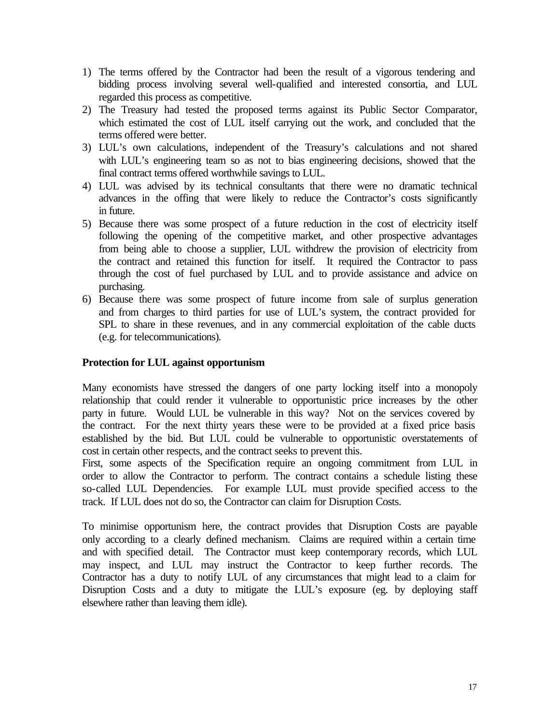- 1) The terms offered by the Contractor had been the result of a vigorous tendering and bidding process involving several well-qualified and interested consortia, and LUL regarded this process as competitive.
- 2) The Treasury had tested the proposed terms against its Public Sector Comparator, which estimated the cost of LUL itself carrying out the work, and concluded that the terms offered were better.
- 3) LUL's own calculations, independent of the Treasury's calculations and not shared with LUL's engineering team so as not to bias engineering decisions, showed that the final contract terms offered worthwhile savings to LUL.
- 4) LUL was advised by its technical consultants that there were no dramatic technical advances in the offing that were likely to reduce the Contractor's costs significantly in future.
- 5) Because there was some prospect of a future reduction in the cost of electricity itself following the opening of the competitive market, and other prospective advantages from being able to choose a supplier, LUL withdrew the provision of electricity from the contract and retained this function for itself. It required the Contractor to pass through the cost of fuel purchased by LUL and to provide assistance and advice on purchasing.
- 6) Because there was some prospect of future income from sale of surplus generation and from charges to third parties for use of LUL's system, the contract provided for SPL to share in these revenues, and in any commercial exploitation of the cable ducts (e.g. for telecommunications).

# **Protection for LUL against opportunism**

Many economists have stressed the dangers of one party locking itself into a monopoly relationship that could render it vulnerable to opportunistic price increases by the other party in future. Would LUL be vulnerable in this way? Not on the services covered by the contract. For the next thirty years these were to be provided at a fixed price basis established by the bid. But LUL could be vulnerable to opportunistic overstatements of cost in certain other respects, and the contract seeks to prevent this.

First, some aspects of the Specification require an ongoing commitment from LUL in order to allow the Contractor to perform. The contract contains a schedule listing these so-called LUL Dependencies. For example LUL must provide specified access to the track. If LUL does not do so, the Contractor can claim for Disruption Costs.

To minimise opportunism here, the contract provides that Disruption Costs are payable only according to a clearly defined mechanism. Claims are required within a certain time and with specified detail. The Contractor must keep contemporary records, which LUL may inspect, and LUL may instruct the Contractor to keep further records. The Contractor has a duty to notify LUL of any circumstances that might lead to a claim for Disruption Costs and a duty to mitigate the LUL's exposure (eg. by deploying staff elsewhere rather than leaving them idle).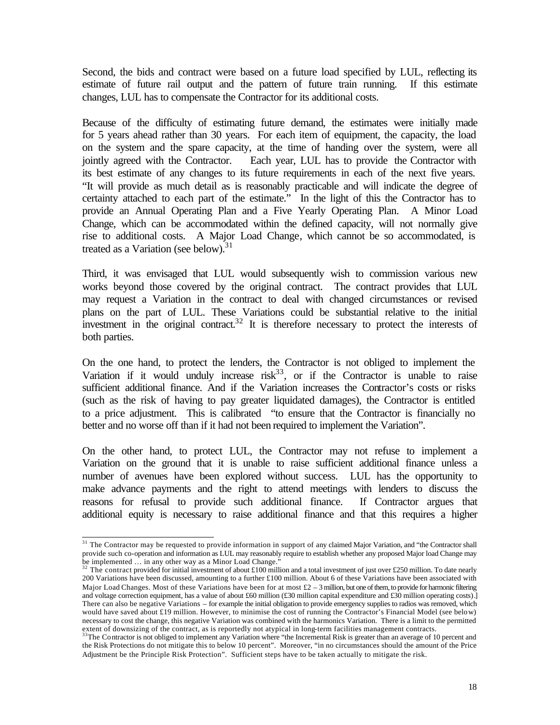Second, the bids and contract were based on a future load specified by LUL, reflecting its estimate of future rail output and the pattern of future train running. If this estimate changes, LUL has to compensate the Contractor for its additional costs.

Because of the difficulty of estimating future demand, the estimates were initially made for 5 years ahead rather than 30 years. For each item of equipment, the capacity, the load on the system and the spare capacity, at the time of handing over the system, were all jointly agreed with the Contractor. Each year, LUL has to provide the Contractor with its best estimate of any changes to its future requirements in each of the next five years. "It will provide as much detail as is reasonably practicable and will indicate the degree of certainty attached to each part of the estimate." In the light of this the Contractor has to provide an Annual Operating Plan and a Five Yearly Operating Plan. A Minor Load Change, which can be accommodated within the defined capacity, will not normally give rise to additional costs. A Major Load Change, which cannot be so accommodated, is treated as a Variation (see below). $31$ 

Third, it was envisaged that LUL would subsequently wish to commission various new works beyond those covered by the original contract. The contract provides that LUL may request a Variation in the contract to deal with changed circumstances or revised plans on the part of LUL. These Variations could be substantial relative to the initial investment in the original contract.<sup>32</sup> It is therefore necessary to protect the interests of both parties.

On the one hand, to protect the lenders, the Contractor is not obliged to implement the Variation if it would unduly increase  $risk^{33}$ , or if the Contractor is unable to raise sufficient additional finance. And if the Variation increases the Contractor's costs or risks (such as the risk of having to pay greater liquidated damages), the Contractor is entitled to a price adjustment. This is calibrated "to ensure that the Contractor is financially no better and no worse off than if it had not been required to implement the Variation".

On the other hand, to protect LUL, the Contractor may not refuse to implement a Variation on the ground that it is unable to raise sufficient additional finance unless a number of avenues have been explored without success. LUL has the opportunity to make advance payments and the right to attend meetings with lenders to discuss the reasons for refusal to provide such additional finance. If Contractor argues that additional equity is necessary to raise additional finance and that this requires a higher

l <sup>31</sup> The Contractor may be requested to provide information in support of any claimed Major Variation, and "the Contractor shall provide such co-operation and information as LUL may reasonably require to establish whether any proposed Major load Change may be implemented ... in any other way as a Minor Load Change."<br><sup>32</sup> The contract provided for initial investment of about £100 million and a total investment of just over £250 million. To date nearly

<sup>200</sup> Variations have been discussed, amounting to a further £100 million. About 6 of these Variations have been associated with Major Load Changes. Most of these Variations have been for at most  $\pounds 2 - 3$  million, but one of them, to provide for harmonic filtering and voltage correction equipment, has a value of about £60 million (£30 million capital expenditure and £30 million operating costs).] There can also be negative Variations – for example the initial obligation to provide emergency supplies to radios was removed, which would have saved about £19 million. However, to minimise the cost of running the Contractor's Financial Model (see below) necessary to cost the change, this negative Variation was combined with the harmonics Variation. There is a limit to the permitted extent of downsizing of the contract, as is reportedly not atypical in long-term facilities management contracts.<br><sup>33</sup>The Contractor is not obliged to implement any Variation where "the Incremental Risk is greater than an

the Risk Protections do not mitigate this to below 10 percent". Moreover, "in no circumstances should the amount of the Price Adjustment be the Principle Risk Protection". Sufficient steps have to be taken actually to mitigate the risk.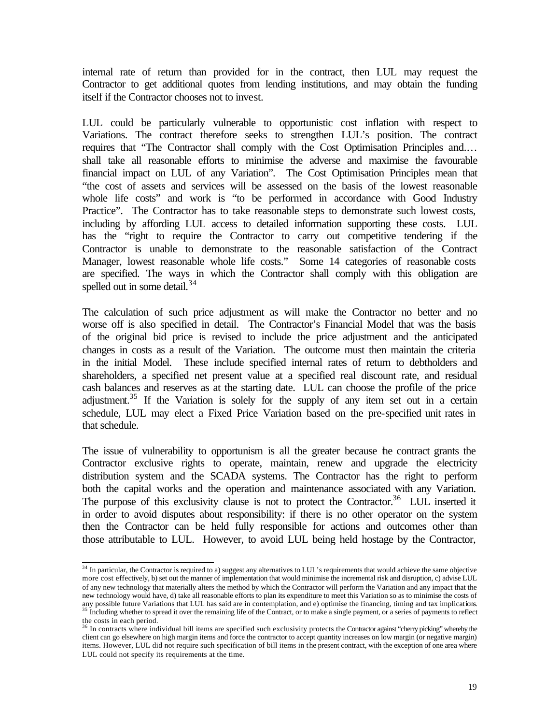internal rate of return than provided for in the contract, then LUL may request the Contractor to get additional quotes from lending institutions, and may obtain the funding itself if the Contractor chooses not to invest.

LUL could be particularly vulnerable to opportunistic cost inflation with respect to Variations. The contract therefore seeks to strengthen LUL's position. The contract requires that "The Contractor shall comply with the Cost Optimisation Principles and.… shall take all reasonable efforts to minimise the adverse and maximise the favourable financial impact on LUL of any Variation". The Cost Optimisation Principles mean that "the cost of assets and services will be assessed on the basis of the lowest reasonable whole life costs" and work is "to be performed in accordance with Good Industry Practice". The Contractor has to take reasonable steps to demonstrate such lowest costs, including by affording LUL access to detailed information supporting these costs. LUL has the "right to require the Contractor to carry out competitive tendering if the Contractor is unable to demonstrate to the reasonable satisfaction of the Contract Manager, lowest reasonable whole life costs." Some 14 categories of reasonable costs are specified. The ways in which the Contractor shall comply with this obligation are spelled out in some detail.<sup>34</sup>

The calculation of such price adjustment as will make the Contractor no better and no worse off is also specified in detail. The Contractor's Financial Model that was the basis of the original bid price is revised to include the price adjustment and the anticipated changes in costs as a result of the Variation. The outcome must then maintain the criteria in the initial Model. These include specified internal rates of return to debtholders and shareholders, a specified net present value at a specified real discount rate, and residual cash balances and reserves as at the starting date. LUL can choose the profile of the price adjustment.<sup>35</sup> If the Variation is solely for the supply of any item set out in a certain schedule, LUL may elect a Fixed Price Variation based on the pre-specified unit rates in that schedule.

The issue of vulnerability to opportunism is all the greater because the contract grants the Contractor exclusive rights to operate, maintain, renew and upgrade the electricity distribution system and the SCADA systems. The Contractor has the right to perform both the capital works and the operation and maintenance associated with any Variation. The purpose of this exclusivity clause is not to protect the Contractor.<sup>36</sup> LUL inserted it in order to avoid disputes about responsibility: if there is no other operator on the system then the Contractor can be held fully responsible for actions and outcomes other than those attributable to LUL. However, to avoid LUL being held hostage by the Contractor,

l  $34$  In particular, the Contractor is required to a) suggest any alternatives to LUL's requirements that would achieve the same objective more cost effectively, b) set out the manner of implementation that would minimise the incremental risk and disruption, c) advise LUL of any new technology that materially alters the method by which the Contractor will perform the Variation and any impact that the new technology would have, d) take all reasonable efforts to plan its expenditure to meet this Variation so as to minimise the costs of any possible future Variations that LUL has said are in contemplation, and e) optimise the financing, timing and tax implications.<br><sup>35</sup> Including whether to spread it over the remaining life of the Contract, or to make a s

the costs in each period. <sup>36</sup> In contracts where individual bill items are specified such exclusivity protects the Contractor against "cherry picking" whereby the

client can go elsewhere on high margin items and force the contractor to accept quantity increases on low margin (or negative margin) items. However, LUL did not require such specification of bill items in the present contract, with the exception of one area where LUL could not specify its requirements at the time.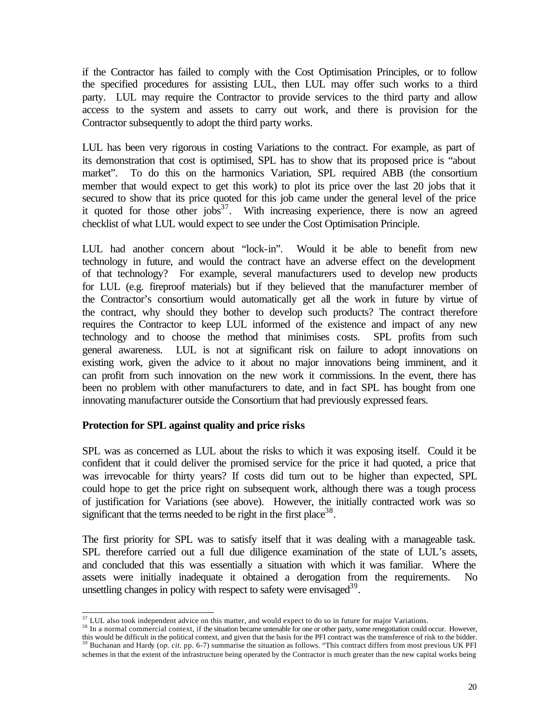if the Contractor has failed to comply with the Cost Optimisation Principles, or to follow the specified procedures for assisting LUL, then LUL may offer such works to a third party. LUL may require the Contractor to provide services to the third party and allow access to the system and assets to carry out work, and there is provision for the Contractor subsequently to adopt the third party works.

LUL has been very rigorous in costing Variations to the contract. For example, as part of its demonstration that cost is optimised, SPL has to show that its proposed price is "about market". To do this on the harmonics Variation, SPL required ABB (the consortium member that would expect to get this work) to plot its price over the last 20 jobs that it secured to show that its price quoted for this job came under the general level of the price it quoted for those other jobs<sup>37</sup>. With increasing experience, there is now an agreed checklist of what LUL would expect to see under the Cost Optimisation Principle.

LUL had another concern about "lock-in". Would it be able to benefit from new technology in future, and would the contract have an adverse effect on the development of that technology? For example, several manufacturers used to develop new products for LUL (e.g. fireproof materials) but if they believed that the manufacturer member of the Contractor's consortium would automatically get all the work in future by virtue of the contract, why should they bother to develop such products? The contract therefore requires the Contractor to keep LUL informed of the existence and impact of any new technology and to choose the method that minimises costs. SPL profits from such general awareness. LUL is not at significant risk on failure to adopt innovations on existing work, given the advice to it about no major innovations being imminent, and it can profit from such innovation on the new work it commissions. In the event, there has been no problem with other manufacturers to date, and in fact SPL has bought from one innovating manufacturer outside the Consortium that had previously expressed fears.

# **Protection for SPL against quality and price risks**

l

SPL was as concerned as LUL about the risks to which it was exposing itself. Could it be confident that it could deliver the promised service for the price it had quoted, a price that was irrevocable for thirty years? If costs did turn out to be higher than expected, SPL could hope to get the price right on subsequent work, although there was a tough process of justification for Variations (see above). However, the initially contracted work was so significant that the terms needed to be right in the first place<sup>38</sup>.

The first priority for SPL was to satisfy itself that it was dealing with a manageable task. SPL therefore carried out a full due diligence examination of the state of LUL's assets, and concluded that this was essentially a situation with which it was familiar. Where the assets were initially inadequate it obtained a derogation from the requirements. No unsettling changes in policy with respect to safety were envisaged<sup>39</sup>.

 $37$  LUL also took independent advice on this matter, and would expect to do so in future for major Variations.

<sup>&</sup>lt;sup>38</sup> In a normal commercial context, if the situation became untenable for one or other party, some renegotiation could occur. However, this would be difficult in the political context, and given that the basis for the PFI contract was the transference of risk to the bidder. <sup>39</sup> Buchanan and Hardy (*op. cit*. pp. 6-7) summarise the situation as follows. "This contract differs from most previous UK PFI schemes in that the extent of the infrastructure being operated by the Contractor is much greater than the new capital works being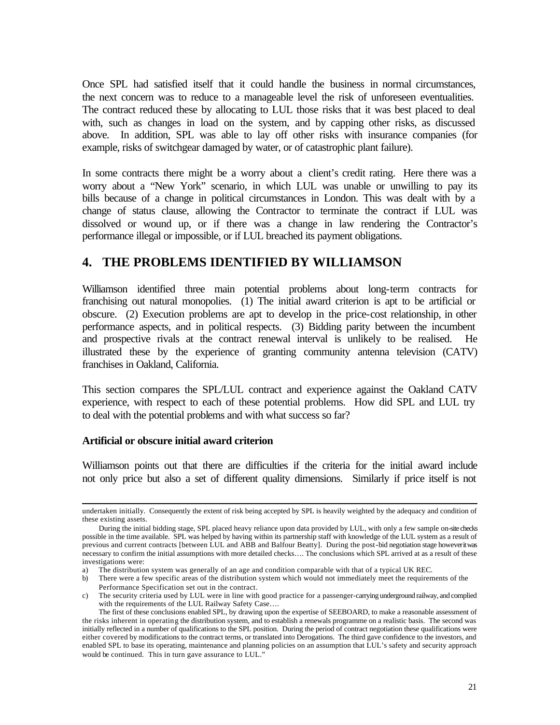Once SPL had satisfied itself that it could handle the business in normal circumstances, the next concern was to reduce to a manageable level the risk of unforeseen eventualities. The contract reduced these by allocating to LUL those risks that it was best placed to deal with, such as changes in load on the system, and by capping other risks, as discussed above. In addition, SPL was able to lay off other risks with insurance companies (for example, risks of switchgear damaged by water, or of catastrophic plant failure).

In some contracts there might be a worry about a client's credit rating. Here there was a worry about a "New York" scenario, in which LUL was unable or unwilling to pay its bills because of a change in political circumstances in London. This was dealt with by a change of status clause, allowing the Contractor to terminate the contract if LUL was dissolved or wound up, or if there was a change in law rendering the Contractor's performance illegal or impossible, or if LUL breached its payment obligations.

# **4. THE PROBLEMS IDENTIFIED BY WILLIAMSON**

Williamson identified three main potential problems about long-term contracts for franchising out natural monopolies. (1) The initial award criterion is apt to be artificial or obscure. (2) Execution problems are apt to develop in the price-cost relationship, in other performance aspects, and in political respects. (3) Bidding parity between the incumbent and prospective rivals at the contract renewal interval is unlikely to be realised. He illustrated these by the experience of granting community antenna television (CATV) franchises in Oakland, California.

This section compares the SPL/LUL contract and experience against the Oakland CATV experience, with respect to each of these potential problems. How did SPL and LUL try to deal with the potential problems and with what success so far?

# **Artificial or obscure initial award criterion**

l

Williamson points out that there are difficulties if the criteria for the initial award include not only price but also a set of different quality dimensions. Similarly if price itself is not

undertaken initially. Consequently the extent of risk being accepted by SPL is heavily weighted by the adequacy and condition of these existing assets.

During the initial bidding stage, SPL placed heavy reliance upon data provided by LUL, with only a few sample on-site checks possible in the time available. SPL was helped by having within its partnership staff with knowledge of the LUL system as a result of previous and current contracts [between LUL and ABB and Balfour Beatty]. During the post-bid negotiation stage however it was necessary to confirm the initial assumptions with more detailed checks…. The conclusions which SPL arrived at as a result of these investigations were:

a) The distribution system was generally of an age and condition comparable with that of a typical UK REC.

b) There were a few specific areas of the distribution system which would not immediately meet the requirements of the Performance Specification set out in the contract.

c) The security criteria used by LUL were in line with good practice for a passenger-carrying underground railway, and complied with the requirements of the LUL Railway Safety Case….

The first of these conclusions enabled SPL, by drawing upon the expertise of SEEBOARD, to make a reasonable assessment of the risks inherent in operating the distribution system, and to establish a renewals programme on a realistic basis. The second was initially reflected in a number of qualifications to the SPL position. During the period of contract negotiation these qualifications were either covered by modifications to the contract terms, or translated into Derogations. The third gave confidence to the investors, and enabled SPL to base its operating, maintenance and planning policies on an assumption that LUL's safety and security approach would be continued. This in turn gave assurance to LUL."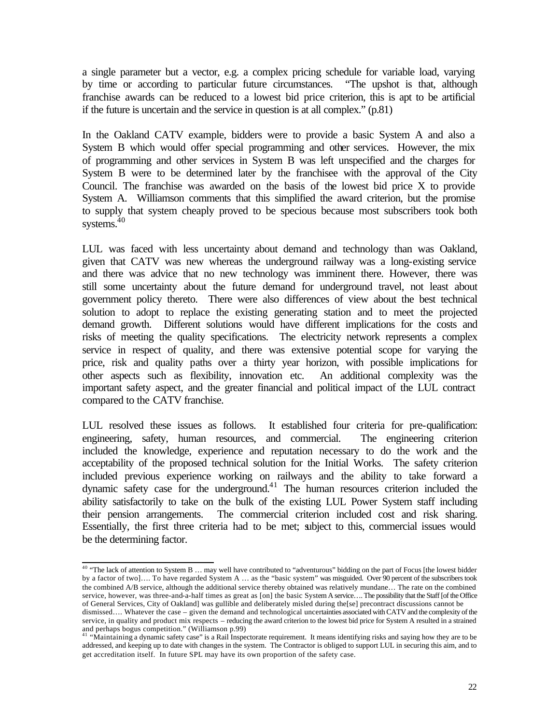a single parameter but a vector, e.g. a complex pricing schedule for variable load, varying by time or according to particular future circumstances. "The upshot is that, although franchise awards can be reduced to a lowest bid price criterion, this is apt to be artificial if the future is uncertain and the service in question is at all complex." (p.81)

In the Oakland CATV example, bidders were to provide a basic System A and also a System B which would offer special programming and other services. However, the mix of programming and other services in System B was left unspecified and the charges for System B were to be determined later by the franchisee with the approval of the City Council. The franchise was awarded on the basis of the lowest bid price X to provide System A. Williamson comments that this simplified the award criterion, but the promise to supply that system cheaply proved to be specious because most subscribers took both systems. $40$ 

LUL was faced with less uncertainty about demand and technology than was Oakland, given that CATV was new whereas the underground railway was a long-existing service and there was advice that no new technology was imminent there. However, there was still some uncertainty about the future demand for underground travel, not least about government policy thereto. There were also differences of view about the best technical solution to adopt to replace the existing generating station and to meet the projected demand growth. Different solutions would have different implications for the costs and risks of meeting the quality specifications. The electricity network represents a complex service in respect of quality, and there was extensive potential scope for varying the price, risk and quality paths over a thirty year horizon, with possible implications for other aspects such as flexibility, innovation etc. An additional complexity was the important safety aspect, and the greater financial and political impact of the LUL contract compared to the CATV franchise.

LUL resolved these issues as follows. It established four criteria for pre-qualification: engineering, safety, human resources, and commercial. The engineering criterion included the knowledge, experience and reputation necessary to do the work and the acceptability of the proposed technical solution for the Initial Works. The safety criterion included previous experience working on railways and the ability to take forward a dynamic safety case for the underground.<sup>41</sup> The human resources criterion included the ability satisfactorily to take on the bulk of the existing LUL Power System staff including their pension arrangements. The commercial criterion included cost and risk sharing. Essentially, the first three criteria had to be met; subject to this, commercial issues would be the determining factor.

l

 $40$  "The lack of attention to System B  $\ldots$  may well have contributed to "adventurous" bidding on the part of Focus [the lowest bidder by a factor of two]…. To have regarded System A … as the "basic system" was misguided. Over 90 percent of the subscribers took the combined A/B service, although the additional service thereby obtained was relatively mundane… The rate on the combined service, however, was three-and-a-half times as great as [on] the basic System A service…. The possibility that the Staff [of the Office of General Services, City of Oakland] was gullible and deliberately misled during the[se] precontract discussions cannot be dismissed…. Whatever the case – given the demand and technological uncertainties associated with CATV and the complexity of the

service, in quality and product mix respects – reducing the award criterion to the lowest bid price for System A resulted in a strained and perhaps bogus competition." (Williamson p.99)<br><sup>41</sup> "Maintaining a dynamic safety case" is a Rail Inspectorate requirement. It means identifying risks and saying how they are to be

addressed, and keeping up to date with changes in the system. The Contractor is obliged to support LUL in securing this aim, and to get accreditation itself. In future SPL may have its own proportion of the safety case.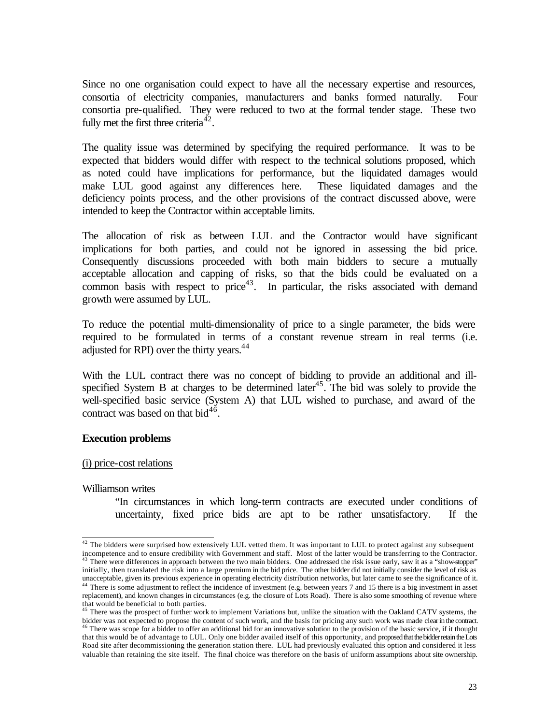Since no one organisation could expect to have all the necessary expertise and resources, consortia of electricity companies, manufacturers and banks formed naturally. Four consortia pre-qualified. They were reduced to two at the formal tender stage. These two fully met the first three criteria<sup>42</sup>.

The quality issue was determined by specifying the required performance. It was to be expected that bidders would differ with respect to the technical solutions proposed, which as noted could have implications for performance, but the liquidated damages would make LUL good against any differences here. These liquidated damages and the deficiency points process, and the other provisions of the contract discussed above, were intended to keep the Contractor within acceptable limits.

The allocation of risk as between LUL and the Contractor would have significant implications for both parties, and could not be ignored in assessing the bid price. Consequently discussions proceeded with both main bidders to secure a mutually acceptable allocation and capping of risks, so that the bids could be evaluated on a common basis with respect to price<sup>43</sup>. In particular, the risks associated with demand growth were assumed by LUL.

To reduce the potential multi-dimensionality of price to a single parameter, the bids were required to be formulated in terms of a constant revenue stream in real terms (i.e. adjusted for RPI) over the thirty years.<sup>44</sup>

With the LUL contract there was no concept of bidding to provide an additional and illspecified System B at charges to be determined later<sup>45</sup>. The bid was solely to provide the well-specified basic service (System A) that LUL wished to purchase, and award of the contract was based on that  $bid^{46}$ .

# **Execution problems**

## (i) price-cost relations

Williamson writes

"In circumstances in which long-term contracts are executed under conditions of uncertainty, fixed price bids are apt to be rather unsatisfactory. If the

l  $42$  The bidders were surprised how extensively LUL vetted them. It was important to LUL to protect against any subsequent incompetence and to ensure credibility with Government and staff. Most of the latter would be transferring to the Contractor. There were differences in approach between the two main bidders. One addressed the risk issue early, saw it as a "show-stopper" initially, then translated the risk into a large premium in the bid price. The other bidder did not initially consider the level of risk as unacceptable, given its previous experience in operating electricity distribution networks, but later came to see the significance of it.

<sup>&</sup>lt;sup>44</sup> There is some adjustment to reflect the incidence of investment (e.g. between years 7 and 15 there is a big investment in asset replacement), and known changes in circumstances (e.g. the closure of Lots Road). There is also some smoothing of revenue where that would be beneficial to both parties.

<sup>&</sup>lt;sup>45</sup> There was the prospect of further work to implement Variations but, unlike the situation with the Oakland CATV systems, the bidder was not expected to propose the content of such work, and the basis for pricing any such work was made clear in the contract. There was scope for a bidder to offer an additional bid for an innovative solution to the provision of the basic service, if it thought that this would be of advantage to LUL. Only one bidder availed itself of this opportunity, and proposed that the bidder retain the Lots Road site after decommissioning the generation station there. LUL had previously evaluated this option and considered it less valuable than retaining the site itself. The final choice was therefore on the basis of uniform assumptions about site ownership.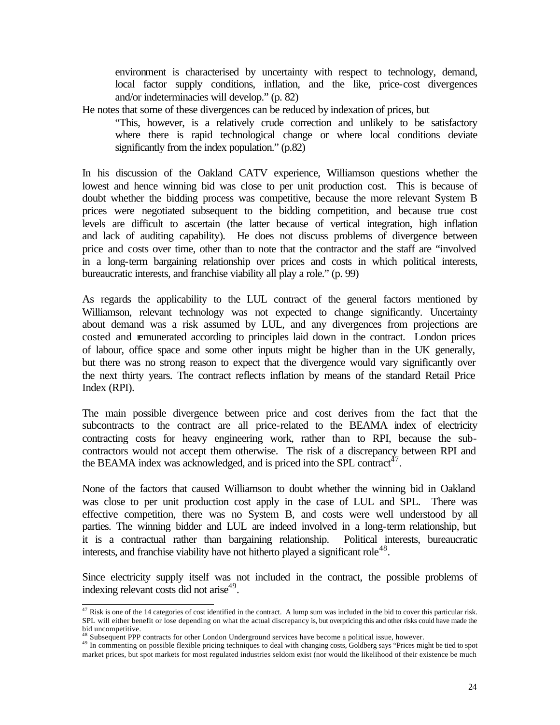environment is characterised by uncertainty with respect to technology, demand, local factor supply conditions, inflation, and the like, price-cost divergences and/or indeterminacies will develop." (p. 82)

He notes that some of these divergences can be reduced by indexation of prices, but

"This, however, is a relatively crude correction and unlikely to be satisfactory where there is rapid technological change or where local conditions deviate significantly from the index population." (p.82)

In his discussion of the Oakland CATV experience, Williamson questions whether the lowest and hence winning bid was close to per unit production cost. This is because of doubt whether the bidding process was competitive, because the more relevant System B prices were negotiated subsequent to the bidding competition, and because true cost levels are difficult to ascertain (the latter because of vertical integration, high inflation and lack of auditing capability). He does not discuss problems of divergence between price and costs over time, other than to note that the contractor and the staff are "involved in a long-term bargaining relationship over prices and costs in which political interests, bureaucratic interests, and franchise viability all play a role." (p. 99)

As regards the applicability to the LUL contract of the general factors mentioned by Williamson, relevant technology was not expected to change significantly. Uncertainty about demand was a risk assumed by LUL, and any divergences from projections are costed and remunerated according to principles laid down in the contract. London prices of labour, office space and some other inputs might be higher than in the UK generally, but there was no strong reason to expect that the divergence would vary significantly over the next thirty years. The contract reflects inflation by means of the standard Retail Price Index (RPI).

The main possible divergence between price and cost derives from the fact that the subcontracts to the contract are all price-related to the BEAMA index of electricity contracting costs for heavy engineering work, rather than to RPI, because the subcontractors would not accept them otherwise. The risk of a discrepancy between RPI and the BEAMA index was acknowledged, and is priced into the SPL contract<sup>47</sup>.

None of the factors that caused Williamson to doubt whether the winning bid in Oakland was close to per unit production cost apply in the case of LUL and SPL. There was effective competition, there was no System B, and costs were well understood by all parties. The winning bidder and LUL are indeed involved in a long-term relationship, but it is a contractual rather than bargaining relationship. Political interests, bureaucratic interests, and franchise viability have not hitherto played a significant role<sup>48</sup>.

Since electricity supply itself was not included in the contract, the possible problems of indexing relevant costs did not arise<sup>49</sup>.

l  $47$  Risk is one of the 14 categories of cost identified in the contract. A lump sum was included in the bid to cover this particular risk. SPL will either benefit or lose depending on what the actual discrepancy is, but overpricing this and other risks could have made the bid uncompetitive.

Subsequent PPP contracts for other London Underground services have become a political issue, however.

<sup>&</sup>lt;sup>49</sup> In commenting on possible flexible pricing techniques to deal with changing costs, Goldberg says "Prices might be tied to spot market prices, but spot markets for most regulated industries seldom exist (nor would the likelihood of their existence be much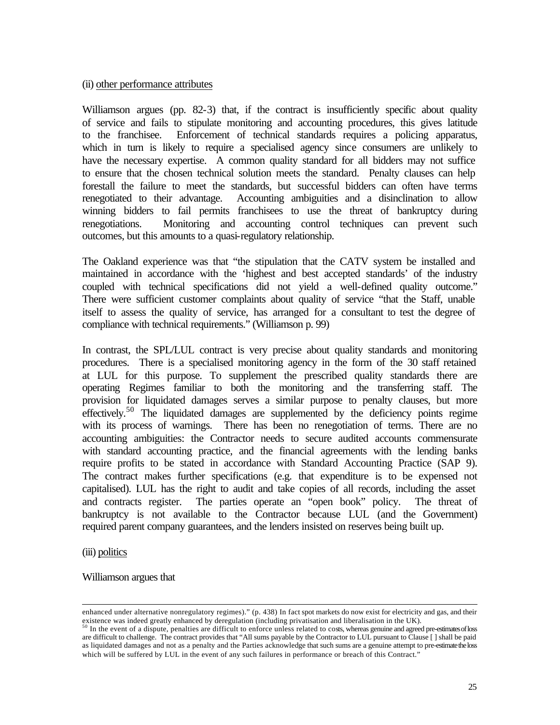### (ii) other performance attributes

Williamson argues (pp. 82-3) that, if the contract is insufficiently specific about quality of service and fails to stipulate monitoring and accounting procedures, this gives latitude to the franchisee. Enforcement of technical standards requires a policing apparatus, which in turn is likely to require a specialised agency since consumers are unlikely to have the necessary expertise. A common quality standard for all bidders may not suffice to ensure that the chosen technical solution meets the standard. Penalty clauses can help forestall the failure to meet the standards, but successful bidders can often have terms renegotiated to their advantage. Accounting ambiguities and a disinclination to allow winning bidders to fail permits franchisees to use the threat of bankruptcy during renegotiations. Monitoring and accounting control techniques can prevent such outcomes, but this amounts to a quasi-regulatory relationship.

The Oakland experience was that "the stipulation that the CATV system be installed and maintained in accordance with the 'highest and best accepted standards' of the industry coupled with technical specifications did not yield a well-defined quality outcome." There were sufficient customer complaints about quality of service "that the Staff, unable itself to assess the quality of service, has arranged for a consultant to test the degree of compliance with technical requirements." (Williamson p. 99)

In contrast, the SPL/LUL contract is very precise about quality standards and monitoring procedures. There is a specialised monitoring agency in the form of the 30 staff retained at LUL for this purpose. To supplement the prescribed quality standards there are operating Regimes familiar to both the monitoring and the transferring staff. The provision for liquidated damages serves a similar purpose to penalty clauses, but more effectively.<sup>50</sup> The liquidated damages are supplemented by the deficiency points regime with its process of warnings. There has been no renegotiation of terms. There are no accounting ambiguities: the Contractor needs to secure audited accounts commensurate with standard accounting practice, and the financial agreements with the lending banks require profits to be stated in accordance with Standard Accounting Practice (SAP 9). The contract makes further specifications (e.g. that expenditure is to be expensed not capitalised). LUL has the right to audit and take copies of all records, including the asset and contracts register. The parties operate an "open book" policy. The threat of bankruptcy is not available to the Contractor because LUL (and the Government) required parent company guarantees, and the lenders insisted on reserves being built up.

## (iii) politics

## Williamson argues that

l enhanced under alternative nonregulatory regimes)." (p. 438) In fact spot markets do now exist for electricity and gas, and their existence was indeed greatly enhanced by deregulation (including privatisation and liberalisation in the UK).<br><sup>50</sup> In the event of a dignate special in the UK).

In the event of a dispute, penalties are difficult to enforce unless related to costs, whereas genuine and agreed pre-estimates of loss are difficult to challenge. The contract provides that "All sums payable by the Contractor to LUL pursuant to Clause [ ] shall be paid as liquidated damages and not as a penalty and the Parties acknowledge that such sums are a genuine attempt to pre-estimate the loss which will be suffered by LUL in the event of any such failures in performance or breach of this Contract."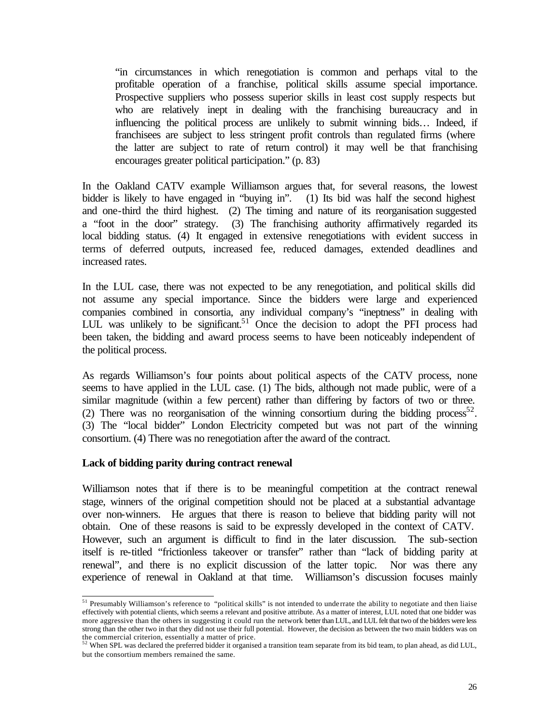"in circumstances in which renegotiation is common and perhaps vital to the profitable operation of a franchise, political skills assume special importance. Prospective suppliers who possess superior skills in least cost supply respects but who are relatively inept in dealing with the franchising bureaucracy and in influencing the political process are unlikely to submit winning bids… Indeed, if franchisees are subject to less stringent profit controls than regulated firms (where the latter are subject to rate of return control) it may well be that franchising encourages greater political participation." (p. 83)

In the Oakland CATV example Williamson argues that, for several reasons, the lowest bidder is likely to have engaged in "buying in". (1) Its bid was half the second highest and one-third the third highest. (2) The timing and nature of its reorganisation suggested a "foot in the door" strategy. (3) The franchising authority affirmatively regarded its local bidding status. (4) It engaged in extensive renegotiations with evident success in terms of deferred outputs, increased fee, reduced damages, extended deadlines and increased rates.

In the LUL case, there was not expected to be any renegotiation, and political skills did not assume any special importance. Since the bidders were large and experienced companies combined in consortia, any individual company's "ineptness" in dealing with LUL was unlikely to be significant.<sup>51</sup> Once the decision to adopt the PFI process had been taken, the bidding and award process seems to have been noticeably independent of the political process.

As regards Williamson's four points about political aspects of the CATV process, none seems to have applied in the LUL case. (1) The bids, although not made public, were of a similar magnitude (within a few percent) rather than differing by factors of two or three. (2) There was no reorganisation of the winning consortium during the bidding process<sup>52</sup>. (3) The "local bidder" London Electricity competed but was not part of the winning consortium. (4) There was no renegotiation after the award of the contract.

# **Lack of bidding parity during contract renewal**

Williamson notes that if there is to be meaningful competition at the contract renewal stage, winners of the original competition should not be placed at a substantial advantage over non-winners. He argues that there is reason to believe that bidding parity will not obtain. One of these reasons is said to be expressly developed in the context of CATV. However, such an argument is difficult to find in the later discussion. The sub-section itself is re-titled "frictionless takeover or transfer" rather than "lack of bidding parity at renewal", and there is no explicit discussion of the latter topic. Nor was there any experience of renewal in Oakland at that time. Williamson's discussion focuses mainly

l <sup>51</sup> Presumably Williamson's reference to "political skills" is not intended to underrate the ability to negotiate and then liaise effectively with potential clients, which seems a relevant and positive attribute. As a matter of interest, LUL noted that one bidder was more aggressive than the others in suggesting it could run the network better than LUL, and LUL felt that two of the bidders were less strong than the other two in that they did not use their full potential. However, the decision as between the two main bidders was on the commercial criterion, essentially a matter of price.<br><sup>52</sup> When SPL was declared the preferred bidder it organised a transition team separate from its bid team, to plan ahead, as did LUL,

but the consortium members remained the same.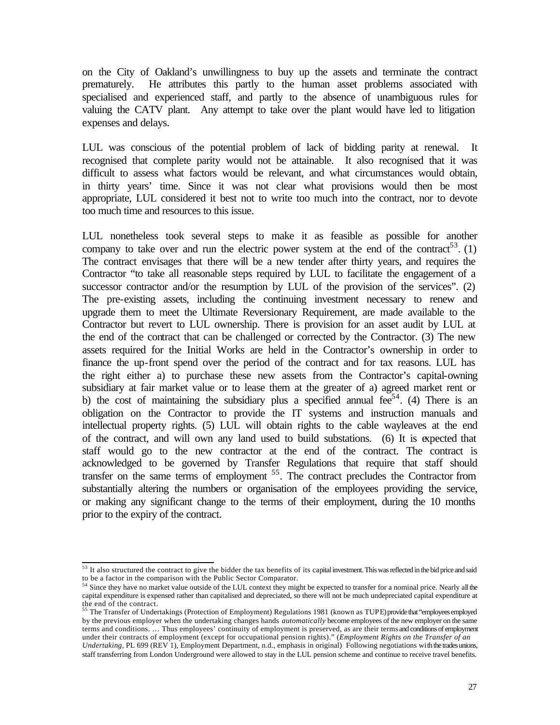on the City of Oakland's unwillingness to buy up the assets and terminate the contract prematurely. He attributes this partly to the human asset problems associated with specialised and experienced staff, and partly to the absence of unambiguous rules for valuing the CATV plant. Any attempt to take over the plant would have led to litigation expenses and delays.

LUL was conscious of the potential problem of lack of bidding parity at renewal. It recognised that complete parity would not be attainable. It also recognised that it was difficult to assess what factors would be relevant, and what circumstances would obtain, in thirty years' time. Since it was not clear what provisions would then be most appropriate, LUL considered it best not to write too much into the contract, nor to devote too much time and resources to this issue.

LUL nonetheless took several steps to make it as feasible as possible for another company to take over and run the electric power system at the end of the contract<sup>53</sup>. (1) The contract envisages that there will be a new tender after thirty years, and requires the Contractor "to take all reasonable steps required by LUL to facilitate the engagement of a successor contractor and/or the resumption by LUL of the provision of the services". (2) The pre-existing assets, including the continuing investment necessary to renew and upgrade them to meet the Ultimate Reversionary Requirement, are made available to the Contractor but revert to LUL ownership. There is provision for an asset audit by LUL at the end of the contract that can be challenged or corrected by the Contractor. (3) The new assets required for the Initial Works are held in the Contractor's ownership in order to finance the up-front spend over the period of the contract and for tax reasons. LUL has the right either a) to purchase these new assets from the Contractor's capital-owning subsidiary at fair market value or to lease them at the greater of a) agreed market rent or b) the cost of maintaining the subsidiary plus a specified annual fee<sup>54</sup>. (4) There is an obligation on the Contractor to provide the IT systems and instruction manuals and intellectual property rights. (5) LUL will obtain rights to the cable wayleaves at the end of the contract, and will own any land used to build substations. (6) It is expected that staff would go to the new contractor at the end of the contract. The contract is acknowledged to be governed by Transfer Regulations that require that staff should transfer on the same terms of employment <sup>55</sup>. The contract precludes the Contractor from substantially altering the numbers or organisation of the employees providing the service, or making any significant change to the terms of their employment, during the 10 months prior to the expiry of the contract.

l  $53$  It also structured the contract to give the bidder the tax benefits of its capital investment. This was reflected in the bid price and said to be a factor in the comparison with the Public Sector Comparator.

 $54$  Since they have no market value outside of the LUL context they might be expected to transfer for a nominal price. Nearly all the capital expenditure is expensed rather than capitalised and depreciated, so there will not be much undepreciated capital expenditure at the end of the contract.

<sup>&</sup>lt;sup>55</sup> The Transfer of Undertakings (Protection of Employment) Regulations 1981 (known as TUPE) provide that "employees employed by the previous employer when the undertaking changes hands *automatically* become employees of the new employer on the same terms and conditions. … Thus employees' continuity of employment is preserved, as are their terms and conditions of employment under their contracts of employment (except for occupational pension rights)." (*Employment Rights on the Transfer of an Undertaking*, PL 699 (REV 1), Employment Department, n.d., emphasis in original) Following negotiations with the trades unions, staff transferring from London Underground were allowed to stay in the LUL pension scheme and continue to receive travel benefits.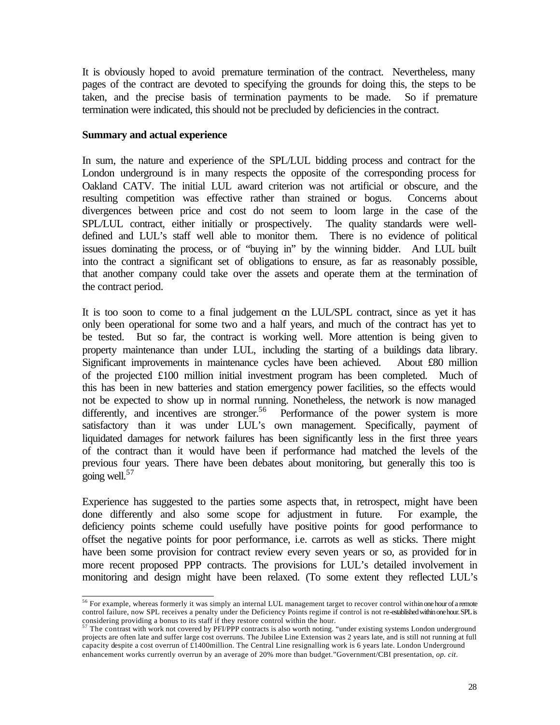It is obviously hoped to avoid premature termination of the contract. Nevertheless, many pages of the contract are devoted to specifying the grounds for doing this, the steps to be taken, and the precise basis of termination payments to be made. So if premature termination were indicated, this should not be precluded by deficiencies in the contract.

## **Summary and actual experience**

In sum, the nature and experience of the SPL/LUL bidding process and contract for the London underground is in many respects the opposite of the corresponding process for Oakland CATV. The initial LUL award criterion was not artificial or obscure, and the resulting competition was effective rather than strained or bogus. Concerns about divergences between price and cost do not seem to loom large in the case of the SPL/LUL contract, either initially or prospectively. The quality standards were welldefined and LUL's staff well able to monitor them. There is no evidence of political issues dominating the process, or of "buying in" by the winning bidder. And LUL built into the contract a significant set of obligations to ensure, as far as reasonably possible, that another company could take over the assets and operate them at the termination of the contract period.

It is too soon to come to a final judgement on the LUL/SPL contract, since as yet it has only been operational for some two and a half years, and much of the contract has yet to be tested. But so far, the contract is working well. More attention is being given to property maintenance than under LUL, including the starting of a buildings data library. Significant improvements in maintenance cycles have been achieved. About £80 million of the projected £100 million initial investment program has been completed. Much of this has been in new batteries and station emergency power facilities, so the effects would not be expected to show up in normal running. Nonetheless, the network is now managed differently, and incentives are stronger.<sup>56</sup> Performance of the power system is more satisfactory than it was under LUL's own management. Specifically, payment of liquidated damages for network failures has been significantly less in the first three years of the contract than it would have been if performance had matched the levels of the previous four years. There have been debates about monitoring, but generally this too is going well.<sup>57</sup>

Experience has suggested to the parties some aspects that, in retrospect, might have been done differently and also some scope for adjustment in future. For example, the deficiency points scheme could usefully have positive points for good performance to offset the negative points for poor performance, i.e. carrots as well as sticks. There might have been some provision for contract review every seven years or so, as provided for in more recent proposed PPP contracts. The provisions for LUL's detailed involvement in monitoring and design might have been relaxed. (To some extent they reflected LUL's

l  $56$  For example, whereas formerly it was simply an internal LUL management target to recover control within one hour of a remote control failure, now SPL receives a penalty under the Deficiency Points regime if control is not re-established within one hour. SPL is considering providing a bonus to its staff if they restore control within the hour.

The contrast with work not covered by PFI/PPP contracts is also worth noting. "under existing systems London underground projects are often late and suffer large cost overruns. The Jubilee Line Extension was 2 years late, and is still not running at full capacity despite a cost overrun of £1400million. The Central Line resignalling work is 6 years late. London Underground enhancement works currently overrun by an average of 20% more than budget."Government/CBI presentation, *op. cit*.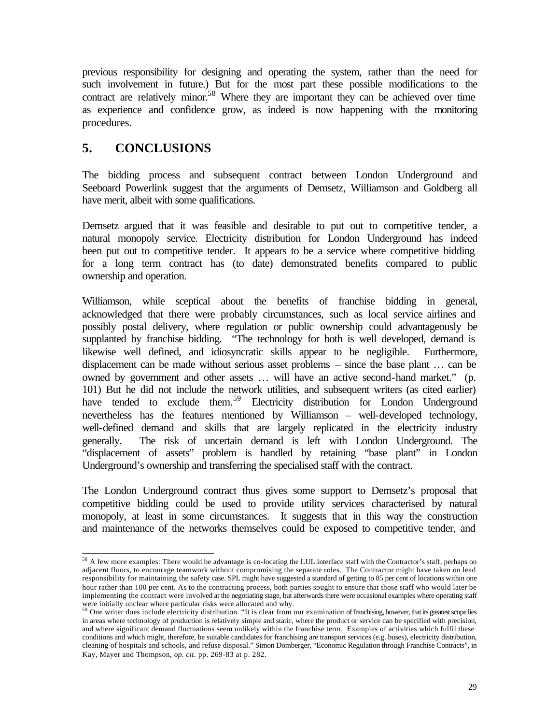previous responsibility for designing and operating the system, rather than the need for such involvement in future.) But for the most part these possible modifications to the contract are relatively minor.<sup>58</sup> Where they are important they can be achieved over time as experience and confidence grow, as indeed is now happening with the monitoring procedures.

# **5. CONCLUSIONS**

The bidding process and subsequent contract between London Underground and Seeboard Powerlink suggest that the arguments of Demsetz, Williamson and Goldberg all have merit, albeit with some qualifications.

Demsetz argued that it was feasible and desirable to put out to competitive tender, a natural monopoly service. Electricity distribution for London Underground has indeed been put out to competitive tender. It appears to be a service where competitive bidding for a long term contract has (to date) demonstrated benefits compared to public ownership and operation.

Williamson, while sceptical about the benefits of franchise bidding in general, acknowledged that there were probably circumstances, such as local service airlines and possibly postal delivery, where regulation or public ownership could advantageously be supplanted by franchise bidding. "The technology for both is well developed, demand is likewise well defined, and idiosyncratic skills appear to be negligible. Furthermore, displacement can be made without serious asset problems – since the base plant … can be owned by government and other assets … will have an active second-hand market." (p. 101) But he did not include the network utilities, and subsequent writers (as cited earlier) have tended to exclude them.<sup>59</sup> Electricity distribution for London Underground nevertheless has the features mentioned by Williamson – well-developed technology, well-defined demand and skills that are largely replicated in the electricity industry generally. The risk of uncertain demand is left with London Underground. The "displacement of assets" problem is handled by retaining "base plant" in London Underground's ownership and transferring the specialised staff with the contract.

The London Underground contract thus gives some support to Demsetz's proposal that competitive bidding could be used to provide utility services characterised by natural monopoly, at least in some circumstances. It suggests that in this way the construction and maintenance of the networks themselves could be exposed to competitive tender, and

l  $58$  A few more examples: There would be advantage is co-locating the LUL interface staff with the Contractor's staff, perhaps on adjacent floors, to encourage teamwork without compromising the separate roles. The Contractor might have taken on lead responsibility for maintaining the safety case. SPL might have suggested a standard of getting to 85 per cent of locations within one hour rather than 100 per cent. As to the contracting process, both parties sought to ensure that those staff who would later be implementing the contract were involved at the negotiating stage, but afterwards there were occasional examples where operating staff

were initially unclear where particular risks were allocated and why.<br><sup>59</sup> One writer does include electricity distribution. "It is clear from our examination of franchising, however, that its greatest scope lies in areas where technology of production is relatively simple and static, where the product or service can be specified with precision, and where significant demand fluctuations seem unlikely within the franchise term. Examples of activities which fulfil these conditions and which might, therefore, be suitable candidates for franchising are transport services (e.g. buses), electricity distribution, cleaning of hospitals and schools, and refuse disposal." Simon Domberger, "Economic Regulation through Franchise Contracts", in Kay, Mayer and Thompson, *op. cit*. pp. 269-83 at p. 282.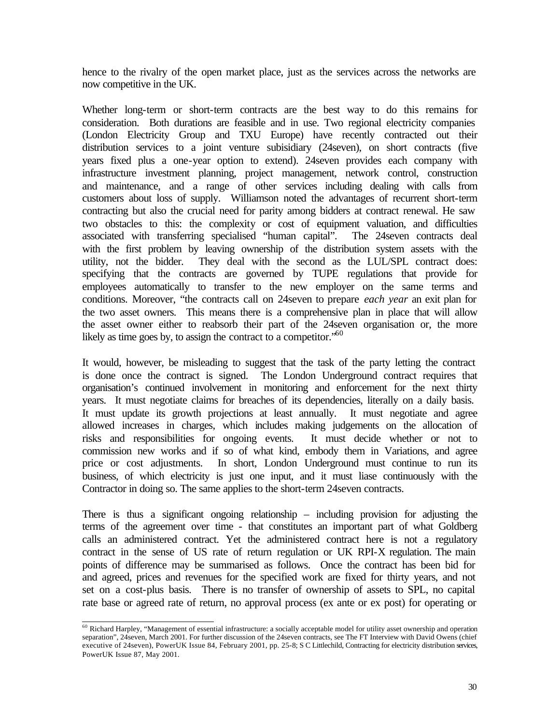hence to the rivalry of the open market place, just as the services across the networks are now competitive in the UK.

Whether long-term or short-term contracts are the best way to do this remains for consideration. Both durations are feasible and in use. Two regional electricity companies (London Electricity Group and TXU Europe) have recently contracted out their distribution services to a joint venture subisidiary (24seven), on short contracts (five years fixed plus a one-year option to extend). 24seven provides each company with infrastructure investment planning, project management, network control, construction and maintenance, and a range of other services including dealing with calls from customers about loss of supply. Williamson noted the advantages of recurrent short-term contracting but also the crucial need for parity among bidders at contract renewal. He saw two obstacles to this: the complexity or cost of equipment valuation, and difficulties associated with transferring specialised "human capital". The 24seven contracts deal with the first problem by leaving ownership of the distribution system assets with the utility, not the bidder. They deal with the second as the LUL/SPL contract does: specifying that the contracts are governed by TUPE regulations that provide for employees automatically to transfer to the new employer on the same terms and conditions. Moreover, "the contracts call on 24seven to prepare *each year* an exit plan for the two asset owners. This means there is a comprehensive plan in place that will allow the asset owner either to reabsorb their part of the 24seven organisation or, the more likely as time goes by, to assign the contract to a competitor.<sup>560</sup>

It would, however, be misleading to suggest that the task of the party letting the contract is done once the contract is signed. The London Underground contract requires that organisation's continued involvement in monitoring and enforcement for the next thirty years. It must negotiate claims for breaches of its dependencies, literally on a daily basis. It must update its growth projections at least annually. It must negotiate and agree allowed increases in charges, which includes making judgements on the allocation of risks and responsibilities for ongoing events. It must decide whether or not to commission new works and if so of what kind, embody them in Variations, and agree price or cost adjustments. In short, London Underground must continue to run its business, of which electricity is just one input, and it must liase continuously with the Contractor in doing so. The same applies to the short-term 24seven contracts.

There is thus a significant ongoing relationship – including provision for adjusting the terms of the agreement over time - that constitutes an important part of what Goldberg calls an administered contract. Yet the administered contract here is not a regulatory contract in the sense of US rate of return regulation or UK RPI-X regulation. The main points of difference may be summarised as follows. Once the contract has been bid for and agreed, prices and revenues for the specified work are fixed for thirty years, and not set on a cost-plus basis. There is no transfer of ownership of assets to SPL, no capital rate base or agreed rate of return, no approval process (ex ante or ex post) for operating or

l  $60$  Richard Harpley, "Management of essential infrastructure: a socially acceptable model for utility asset ownership and operation separation", 24seven, March 2001. For further discussion of the 24seven contracts, see The FT Interview with David Owens (chief executive of 24seven), PowerUK Issue 84, February 2001, pp. 25-8; S C Littlechild, Contracting for electricity distribution services, PowerUK Issue 87, May 2001.